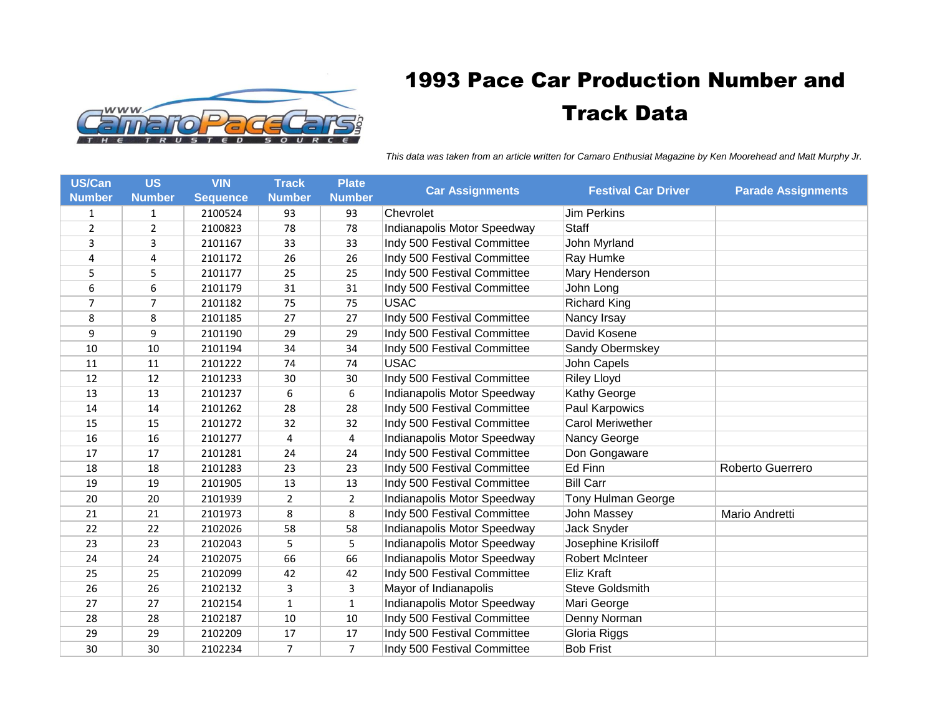

## 1993 Pace Car Production Number and Track Data

*This data was taken from an article written for Camaro Enthusiat Magazine by Ken Moorehead and Matt Murphy Jr.* 

| <b>US/Can</b>  | <b>US</b>     | <b>VIN</b>      | <b>Track</b>   | <b>Plate</b>   |                             | <b>Festival Car Driver</b> |                           |
|----------------|---------------|-----------------|----------------|----------------|-----------------------------|----------------------------|---------------------------|
| <b>Number</b>  | <b>Number</b> | <b>Sequence</b> | <b>Number</b>  | <b>Number</b>  | <b>Car Assignments</b>      |                            | <b>Parade Assignments</b> |
| 1              | 1             | 2100524         | 93             | 93             | Chevrolet                   | <b>Jim Perkins</b>         |                           |
| $\overline{2}$ | 2             | 2100823         | 78             | 78             | Indianapolis Motor Speedway | <b>Staff</b>               |                           |
| 3              | 3             | 2101167         | 33             | 33             | Indy 500 Festival Committee | John Myrland               |                           |
| 4              | 4             | 2101172         | 26             | 26             | Indy 500 Festival Committee | Ray Humke                  |                           |
| 5              | 5             | 2101177         | 25             | 25             | Indy 500 Festival Committee | Mary Henderson             |                           |
| 6              | 6             | 2101179         | 31             | 31             | Indy 500 Festival Committee | John Long                  |                           |
| 7              | 7             | 2101182         | 75             | 75             | <b>USAC</b>                 | <b>Richard King</b>        |                           |
| 8              | 8             | 2101185         | 27             | 27             | Indy 500 Festival Committee | Nancy Irsay                |                           |
| 9              | 9             | 2101190         | 29             | 29             | Indy 500 Festival Committee | David Kosene               |                           |
| 10             | 10            | 2101194         | 34             | 34             | Indy 500 Festival Committee | Sandy Obermskey            |                           |
| 11             | 11            | 2101222         | 74             | 74             | <b>USAC</b>                 | John Capels                |                           |
| 12             | 12            | 2101233         | 30             | 30             | Indy 500 Festival Committee | <b>Riley Lloyd</b>         |                           |
| 13             | 13            | 2101237         | 6              | 6              | Indianapolis Motor Speedway | Kathy George               |                           |
| 14             | 14            | 2101262         | 28             | 28             | Indy 500 Festival Committee | Paul Karpowics             |                           |
| 15             | 15            | 2101272         | 32             | 32             | Indy 500 Festival Committee | <b>Carol Meriwether</b>    |                           |
| 16             | 16            | 2101277         | 4              | 4              | Indianapolis Motor Speedway | Nancy George               |                           |
| 17             | 17            | 2101281         | 24             | 24             | Indy 500 Festival Committee | Don Gongaware              |                           |
| 18             | 18            | 2101283         | 23             | 23             | Indy 500 Festival Committee | Ed Finn                    | Roberto Guerrero          |
| 19             | 19            | 2101905         | 13             | 13             | Indy 500 Festival Committee | <b>Bill Carr</b>           |                           |
| 20             | 20            | 2101939         | $\overline{2}$ | $\overline{2}$ | Indianapolis Motor Speedway | Tony Hulman George         |                           |
| 21             | 21            | 2101973         | 8              | 8              | Indy 500 Festival Committee | John Massey                | Mario Andretti            |
| 22             | 22            | 2102026         | 58             | 58             | Indianapolis Motor Speedway | Jack Snyder                |                           |
| 23             | 23            | 2102043         | 5              | 5              | Indianapolis Motor Speedway | Josephine Krisiloff        |                           |
| 24             | 24            | 2102075         | 66             | 66             | Indianapolis Motor Speedway | <b>Robert McInteer</b>     |                           |
| 25             | 25            | 2102099         | 42             | 42             | Indy 500 Festival Committee | Eliz Kraft                 |                           |
| 26             | 26            | 2102132         | 3              | 3              | Mayor of Indianapolis       | <b>Steve Goldsmith</b>     |                           |
| 27             | 27            | 2102154         | $\mathbf{1}$   | $\mathbf{1}$   | Indianapolis Motor Speedway | Mari George                |                           |
| 28             | 28            | 2102187         | 10             | 10             | Indy 500 Festival Committee | Denny Norman               |                           |
| 29             | 29            | 2102209         | 17             | 17             | Indy 500 Festival Committee | Gloria Riggs               |                           |
| 30             | 30            | 2102234         | $\overline{7}$ | $\overline{7}$ | Indy 500 Festival Committee | <b>Bob Frist</b>           |                           |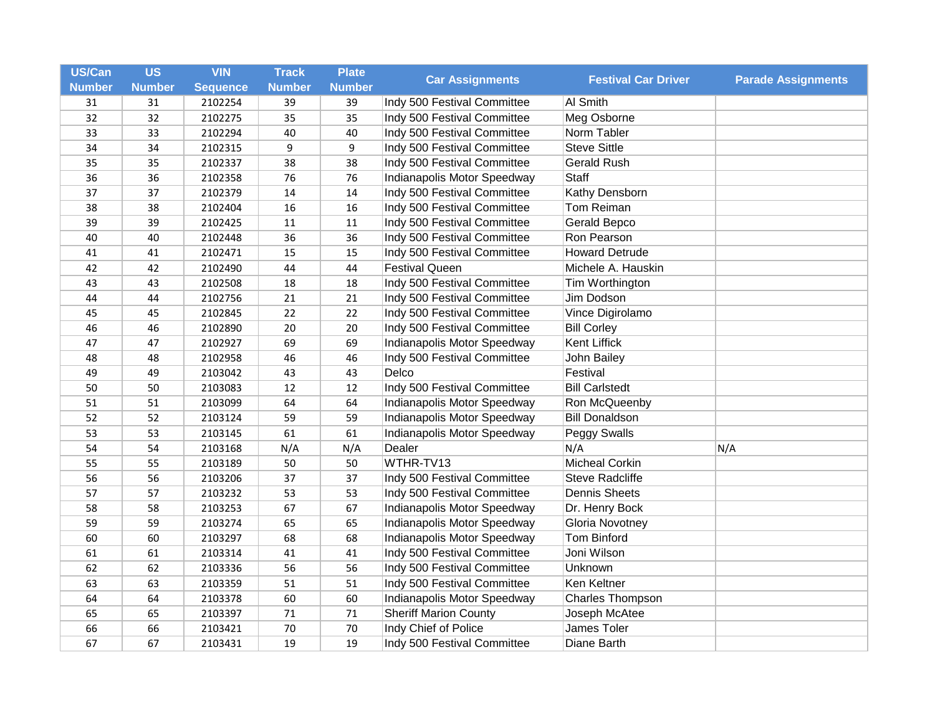| US/Can        | <b>US</b>     | <b>VIN</b>      | <b>Track</b>  | <b>Plate</b>  |                              |                            |                           |
|---------------|---------------|-----------------|---------------|---------------|------------------------------|----------------------------|---------------------------|
| <b>Number</b> | <b>Number</b> | <b>Sequence</b> | <b>Number</b> | <b>Number</b> | <b>Car Assignments</b>       | <b>Festival Car Driver</b> | <b>Parade Assignments</b> |
| 31            | 31            | 2102254         | 39            | 39            | Indy 500 Festival Committee  | Al Smith                   |                           |
| 32            | 32            | 2102275         | 35            | 35            | Indy 500 Festival Committee  | Meg Osborne                |                           |
| 33            | 33            | 2102294         | 40            | 40            | Indy 500 Festival Committee  | Norm Tabler                |                           |
| 34            | 34            | 2102315         | 9             | 9             | Indy 500 Festival Committee  | <b>Steve Sittle</b>        |                           |
| 35            | 35            | 2102337         | 38            | 38            | Indy 500 Festival Committee  | <b>Gerald Rush</b>         |                           |
| 36            | 36            | 2102358         | 76            | 76            | Indianapolis Motor Speedway  | <b>Staff</b>               |                           |
| 37            | 37            | 2102379         | 14            | 14            | Indy 500 Festival Committee  | Kathy Densborn             |                           |
| 38            | 38            | 2102404         | 16            | 16            | Indy 500 Festival Committee  | Tom Reiman                 |                           |
| 39            | 39            | 2102425         | 11            | 11            | Indy 500 Festival Committee  | Gerald Bepco               |                           |
| 40            | 40            | 2102448         | 36            | 36            | Indy 500 Festival Committee  | Ron Pearson                |                           |
| 41            | 41            | 2102471         | 15            | 15            | Indy 500 Festival Committee  | <b>Howard Detrude</b>      |                           |
| 42            | 42            | 2102490         | 44            | 44            | <b>Festival Queen</b>        | Michele A. Hauskin         |                           |
| 43            | 43            | 2102508         | 18            | 18            | Indy 500 Festival Committee  | Tim Worthington            |                           |
| 44            | 44            | 2102756         | 21            | 21            | Indy 500 Festival Committee  | Jim Dodson                 |                           |
| 45            | 45            | 2102845         | 22            | 22            | Indy 500 Festival Committee  | Vince Digirolamo           |                           |
| 46            | 46            | 2102890         | 20            | 20            | Indy 500 Festival Committee  | <b>Bill Corley</b>         |                           |
| 47            | 47            | 2102927         | 69            | 69            | Indianapolis Motor Speedway  | Kent Liffick               |                           |
| 48            | 48            | 2102958         | 46            | 46            | Indy 500 Festival Committee  | John Bailey                |                           |
| 49            | 49            | 2103042         | 43            | 43            | Delco                        | Festival                   |                           |
| 50            | 50            | 2103083         | 12            | 12            | Indy 500 Festival Committee  | <b>Bill Carlstedt</b>      |                           |
| 51            | 51            | 2103099         | 64            | 64            | Indianapolis Motor Speedway  | Ron McQueenby              |                           |
| 52            | 52            | 2103124         | 59            | 59            | Indianapolis Motor Speedway  | <b>Bill Donaldson</b>      |                           |
| 53            | 53            | 2103145         | 61            | 61            | Indianapolis Motor Speedway  | Peggy Swalls               |                           |
| 54            | 54            | 2103168         | N/A           | N/A           | Dealer                       | N/A                        | N/A                       |
| 55            | 55            | 2103189         | 50            | 50            | WTHR-TV13                    | <b>Micheal Corkin</b>      |                           |
| 56            | 56            | 2103206         | 37            | 37            | Indy 500 Festival Committee  | <b>Steve Radcliffe</b>     |                           |
| 57            | 57            | 2103232         | 53            | 53            | Indy 500 Festival Committee  | <b>Dennis Sheets</b>       |                           |
| 58            | 58            | 2103253         | 67            | 67            | Indianapolis Motor Speedway  | Dr. Henry Bock             |                           |
| 59            | 59            | 2103274         | 65            | 65            | Indianapolis Motor Speedway  | Gloria Novotney            |                           |
| 60            | 60            | 2103297         | 68            | 68            | Indianapolis Motor Speedway  | <b>Tom Binford</b>         |                           |
| 61            | 61            | 2103314         | 41            | 41            | Indy 500 Festival Committee  | Joni Wilson                |                           |
| 62            | 62            | 2103336         | 56            | 56            | Indy 500 Festival Committee  | Unknown                    |                           |
| 63            | 63            | 2103359         | 51            | 51            | Indy 500 Festival Committee  | Ken Keltner                |                           |
| 64            | 64            | 2103378         | 60            | 60            | Indianapolis Motor Speedway  | Charles Thompson           |                           |
| 65            | 65            | 2103397         | 71            | 71            | <b>Sheriff Marion County</b> | Joseph McAtee              |                           |
| 66            | 66            | 2103421         | 70            | 70            | Indy Chief of Police         | James Toler                |                           |
| 67            | 67            | 2103431         | 19            | 19            | Indy 500 Festival Committee  | Diane Barth                |                           |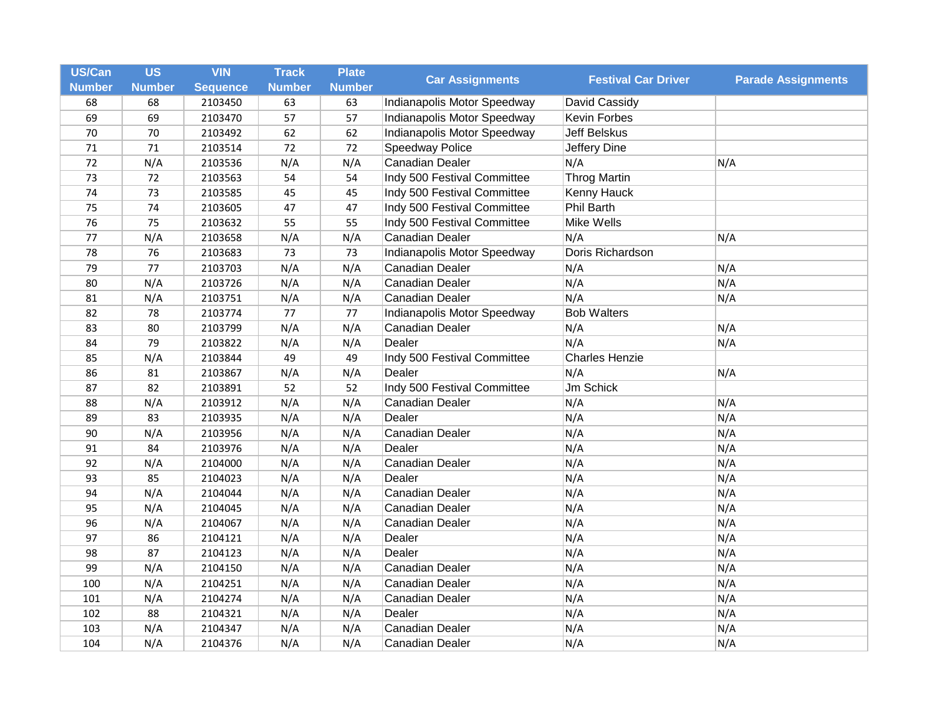| <b>US/Can</b> | <b>US</b>     | <b>VIN</b>      | <b>Track</b>  | <b>Plate</b>  | <b>Car Assignments</b>      | <b>Festival Car Driver</b> | <b>Parade Assignments</b> |
|---------------|---------------|-----------------|---------------|---------------|-----------------------------|----------------------------|---------------------------|
| <b>Number</b> | <b>Number</b> | <b>Sequence</b> | <b>Number</b> | <b>Number</b> |                             |                            |                           |
| 68            | 68            | 2103450         | 63            | 63            | Indianapolis Motor Speedway | David Cassidy              |                           |
| 69            | 69            | 2103470         | 57            | 57            | Indianapolis Motor Speedway | Kevin Forbes               |                           |
| 70            | 70            | 2103492         | 62            | 62            | Indianapolis Motor Speedway | <b>Jeff Belskus</b>        |                           |
| 71            | 71            | 2103514         | 72            | 72            | Speedway Police             | Jeffery Dine               |                           |
| 72            | N/A           | 2103536         | N/A           | N/A           | Canadian Dealer             | N/A                        | N/A                       |
| 73            | 72            | 2103563         | 54            | 54            | Indy 500 Festival Committee | <b>Throg Martin</b>        |                           |
| 74            | 73            | 2103585         | 45            | 45            | Indy 500 Festival Committee | Kenny Hauck                |                           |
| 75            | 74            | 2103605         | 47            | 47            | Indy 500 Festival Committee | <b>Phil Barth</b>          |                           |
| 76            | 75            | 2103632         | 55            | 55            | Indy 500 Festival Committee | Mike Wells                 |                           |
| 77            | N/A           | 2103658         | N/A           | N/A           | Canadian Dealer             | N/A                        | N/A                       |
| 78            | 76            | 2103683         | 73            | 73            | Indianapolis Motor Speedway | Doris Richardson           |                           |
| 79            | 77            | 2103703         | N/A           | N/A           | Canadian Dealer             | N/A                        | N/A                       |
| 80            | N/A           | 2103726         | N/A           | N/A           | Canadian Dealer             | N/A                        | N/A                       |
| 81            | N/A           | 2103751         | N/A           | N/A           | Canadian Dealer             | N/A                        | N/A                       |
| 82            | 78            | 2103774         | 77            | 77            | Indianapolis Motor Speedway | <b>Bob Walters</b>         |                           |
| 83            | 80            | 2103799         | N/A           | N/A           | Canadian Dealer             | N/A                        | N/A                       |
| 84            | 79            | 2103822         | N/A           | N/A           | Dealer                      | N/A                        | N/A                       |
| 85            | N/A           | 2103844         | 49            | 49            | Indy 500 Festival Committee | <b>Charles Henzie</b>      |                           |
| 86            | 81            | 2103867         | N/A           | N/A           | Dealer                      | N/A                        | N/A                       |
| 87            | 82            | 2103891         | 52            | 52            | Indy 500 Festival Committee | Jm Schick                  |                           |
| 88            | N/A           | 2103912         | N/A           | N/A           | Canadian Dealer             | N/A                        | N/A                       |
| 89            | 83            | 2103935         | N/A           | N/A           | Dealer                      | N/A                        | N/A                       |
| 90            | N/A           | 2103956         | N/A           | N/A           | Canadian Dealer             | N/A                        | N/A                       |
| 91            | 84            | 2103976         | N/A           | N/A           | Dealer                      | N/A                        | N/A                       |
| 92            | N/A           | 2104000         | N/A           | N/A           | Canadian Dealer             | N/A                        | N/A                       |
| 93            | 85            | 2104023         | N/A           | N/A           | Dealer                      | N/A                        | N/A                       |
| 94            | N/A           | 2104044         | N/A           | N/A           | Canadian Dealer             | N/A                        | N/A                       |
| 95            | N/A           | 2104045         | N/A           | N/A           | Canadian Dealer             | N/A                        | N/A                       |
| 96            | N/A           | 2104067         | N/A           | N/A           | Canadian Dealer             | N/A                        | N/A                       |
| 97            | 86            | 2104121         | N/A           | N/A           | Dealer                      | N/A                        | N/A                       |
| 98            | 87            | 2104123         | N/A           | N/A           | Dealer                      | N/A                        | N/A                       |
| 99            | N/A           | 2104150         | N/A           | N/A           | Canadian Dealer             | N/A                        | N/A                       |
| 100           | N/A           | 2104251         | N/A           | N/A           | Canadian Dealer             | N/A                        | N/A                       |
| 101           | N/A           | 2104274         | N/A           | N/A           | Canadian Dealer             | N/A                        | N/A                       |
| 102           | 88            | 2104321         | N/A           | N/A           | Dealer                      | N/A                        | N/A                       |
| 103           | N/A           | 2104347         | N/A           | N/A           | Canadian Dealer             | N/A                        | N/A                       |
| 104           | N/A           | 2104376         | N/A           | N/A           | Canadian Dealer             | N/A                        | N/A                       |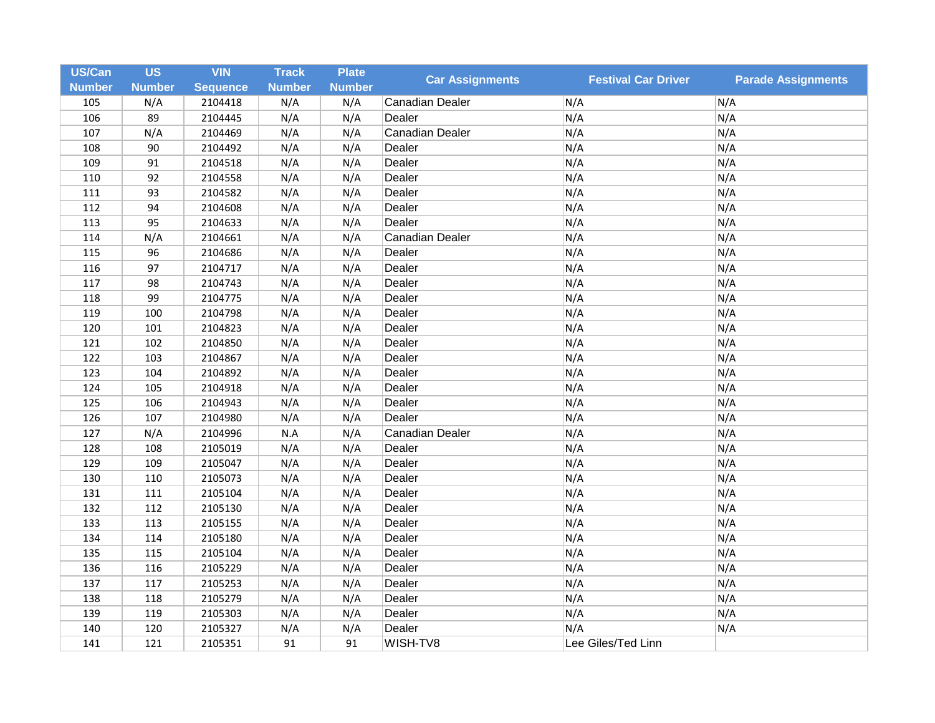| US/Can        | <b>US</b>     | <b>VIN</b>      | <b>Track</b>  | <b>Plate</b>  | <b>Car Assignments</b> | <b>Festival Car Driver</b> | <b>Parade Assignments</b> |
|---------------|---------------|-----------------|---------------|---------------|------------------------|----------------------------|---------------------------|
| <b>Number</b> | <b>Number</b> | <b>Sequence</b> | <b>Number</b> | <b>Number</b> |                        |                            |                           |
| 105           | N/A           | 2104418         | N/A           | N/A           | Canadian Dealer        | N/A                        | N/A                       |
| 106           | 89            | 2104445         | N/A           | N/A           | Dealer                 | N/A                        | N/A                       |
| 107           | N/A           | 2104469         | N/A           | N/A           | Canadian Dealer        | N/A                        | N/A                       |
| 108           | 90            | 2104492         | N/A           | N/A           | Dealer                 | N/A                        | N/A                       |
| 109           | 91            | 2104518         | N/A           | N/A           | Dealer                 | N/A                        | N/A                       |
| 110           | 92            | 2104558         | N/A           | N/A           | Dealer                 | N/A                        | N/A                       |
| 111           | 93            | 2104582         | N/A           | N/A           | Dealer                 | N/A                        | N/A                       |
| 112           | 94            | 2104608         | N/A           | N/A           | Dealer                 | N/A                        | N/A                       |
| 113           | 95            | 2104633         | N/A           | N/A           | Dealer                 | N/A                        | N/A                       |
| 114           | N/A           | 2104661         | N/A           | N/A           | Canadian Dealer        | N/A                        | N/A                       |
| 115           | 96            | 2104686         | N/A           | N/A           | Dealer                 | N/A                        | N/A                       |
| 116           | 97            | 2104717         | N/A           | N/A           | Dealer                 | N/A                        | N/A                       |
| 117           | 98            | 2104743         | N/A           | N/A           | Dealer                 | N/A                        | N/A                       |
| 118           | 99            | 2104775         | N/A           | N/A           | Dealer                 | N/A                        | N/A                       |
| 119           | 100           | 2104798         | N/A           | N/A           | Dealer                 | N/A                        | N/A                       |
| 120           | 101           | 2104823         | N/A           | N/A           | Dealer                 | N/A                        | N/A                       |
| 121           | 102           | 2104850         | N/A           | N/A           | Dealer                 | N/A                        | N/A                       |
| 122           | 103           | 2104867         | N/A           | N/A           | Dealer                 | N/A                        | N/A                       |
| 123           | 104           | 2104892         | N/A           | N/A           | Dealer                 | N/A                        | N/A                       |
| 124           | 105           | 2104918         | N/A           | N/A           | Dealer                 | N/A                        | N/A                       |
| 125           | 106           | 2104943         | N/A           | N/A           | Dealer                 | N/A                        | N/A                       |
| 126           | 107           | 2104980         | N/A           | N/A           | Dealer                 | N/A                        | N/A                       |
| 127           | N/A           | 2104996         | N.A           | N/A           | Canadian Dealer        | N/A                        | N/A                       |
| 128           | 108           | 2105019         | N/A           | N/A           | Dealer                 | N/A                        | N/A                       |
| 129           | 109           | 2105047         | N/A           | N/A           | Dealer                 | N/A                        | N/A                       |
| 130           | 110           | 2105073         | N/A           | N/A           | Dealer                 | N/A                        | N/A                       |
| 131           | 111           | 2105104         | N/A           | N/A           | Dealer                 | N/A                        | N/A                       |
| 132           | 112           | 2105130         | N/A           | N/A           | Dealer                 | N/A                        | N/A                       |
| 133           | 113           | 2105155         | N/A           | N/A           | Dealer                 | N/A                        | N/A                       |
| 134           | 114           | 2105180         | N/A           | N/A           | Dealer                 | N/A                        | N/A                       |
| 135           | 115           | 2105104         | N/A           | N/A           | Dealer                 | N/A                        | N/A                       |
| 136           | 116           | 2105229         | N/A           | N/A           | Dealer                 | N/A                        | N/A                       |
| 137           | 117           | 2105253         | N/A           | N/A           | Dealer                 | N/A                        | N/A                       |
| 138           | 118           | 2105279         | N/A           | N/A           | Dealer                 | N/A                        | N/A                       |
| 139           | 119           | 2105303         | N/A           | N/A           | Dealer                 | N/A                        | N/A                       |
| 140           | 120           | 2105327         | N/A           | N/A           | Dealer                 | N/A                        | N/A                       |
| 141           | 121           | 2105351         | 91            | 91            | WISH-TV8               | Lee Giles/Ted Linn         |                           |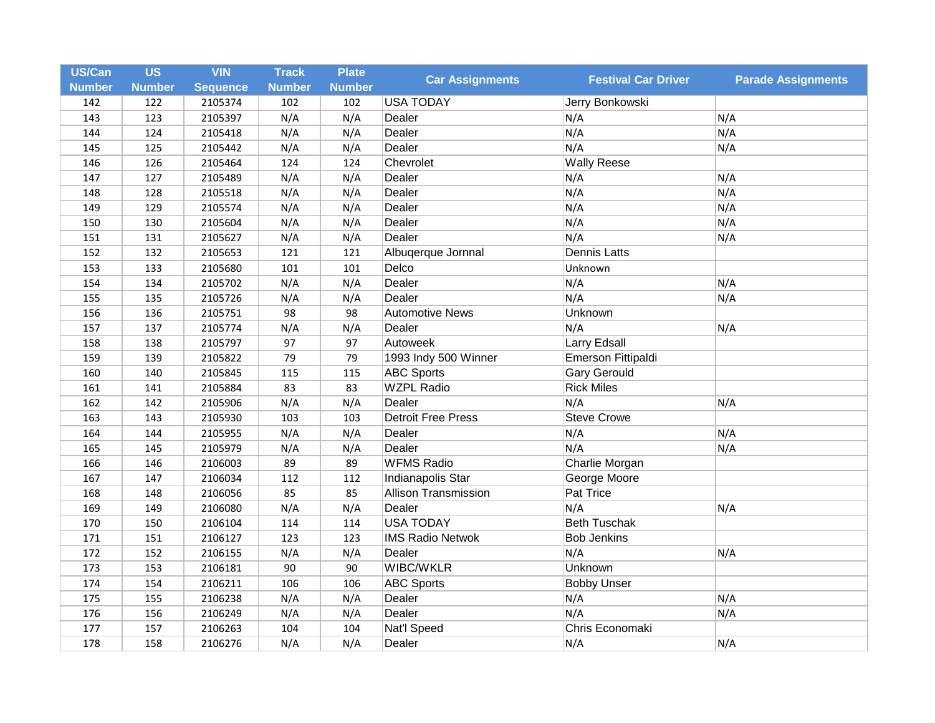| US/Can<br><b>Number</b> | <b>US</b><br><b>Number</b> | <b>VIN</b><br><b>Sequence</b> | <b>Track</b><br><b>Number</b> | <b>Plate</b><br><b>Number</b> | <b>Car Assignments</b>      | <b>Festival Car Driver</b> | <b>Parade Assignments</b> |
|-------------------------|----------------------------|-------------------------------|-------------------------------|-------------------------------|-----------------------------|----------------------------|---------------------------|
| 142                     | 122                        | 2105374                       | 102                           | 102                           | <b>USA TODAY</b>            | Jerry Bonkowski            |                           |
| 143                     | 123                        | 2105397                       | N/A                           | N/A                           | Dealer                      | N/A                        | N/A                       |
| 144                     | 124                        | 2105418                       | N/A                           | N/A                           | Dealer                      | N/A                        | N/A                       |
| 145                     | 125                        | 2105442                       | N/A                           | N/A                           | Dealer                      | N/A                        | N/A                       |
| 146                     | 126                        | 2105464                       | 124                           | 124                           | Chevrolet                   | <b>Wally Reese</b>         |                           |
| 147                     | 127                        | 2105489                       | N/A                           | N/A                           | Dealer                      | N/A                        | N/A                       |
| 148                     | 128                        | 2105518                       | N/A                           | N/A                           | Dealer                      | N/A                        | N/A                       |
| 149                     | 129                        | 2105574                       | N/A                           | N/A                           | Dealer                      | N/A                        | N/A                       |
| 150                     | 130                        | 2105604                       | N/A                           | N/A                           | Dealer                      | N/A                        | N/A                       |
| 151                     | 131                        | 2105627                       | N/A                           | N/A                           | Dealer                      | N/A                        | N/A                       |
| 152                     | 132                        | 2105653                       | 121                           | 121                           | Albuqerque Jornnal          | <b>Dennis Latts</b>        |                           |
| 153                     | 133                        | 2105680                       | 101                           | 101                           | Delco                       | Unknown                    |                           |
| 154                     | 134                        | 2105702                       | N/A                           | N/A                           | Dealer                      | N/A                        | N/A                       |
| 155                     | 135                        | 2105726                       | N/A                           | N/A                           | Dealer                      | N/A                        | N/A                       |
| 156                     | 136                        | 2105751                       | 98                            | 98                            | <b>Automotive News</b>      | Unknown                    |                           |
| 157                     | 137                        | 2105774                       | N/A                           | N/A                           | Dealer                      | N/A                        | N/A                       |
| 158                     | 138                        | 2105797                       | 97                            | 97                            | Autoweek                    | <b>Larry Edsall</b>        |                           |
| 159                     | 139                        | 2105822                       | 79                            | 79                            | 1993 Indy 500 Winner        | Emerson Fittipaldi         |                           |
| 160                     | 140                        | 2105845                       | 115                           | 115                           | <b>ABC Sports</b>           | <b>Gary Gerould</b>        |                           |
| 161                     | 141                        | 2105884                       | 83                            | 83                            | <b>WZPL Radio</b>           | <b>Rick Miles</b>          |                           |
| 162                     | 142                        | 2105906                       | N/A                           | N/A                           | Dealer                      | N/A                        | N/A                       |
| 163                     | 143                        | 2105930                       | 103                           | 103                           | <b>Detroit Free Press</b>   | <b>Steve Crowe</b>         |                           |
| 164                     | 144                        | 2105955                       | N/A                           | N/A                           | Dealer                      | N/A                        | N/A                       |
| 165                     | 145                        | 2105979                       | N/A                           | N/A                           | Dealer                      | N/A                        | N/A                       |
| 166                     | 146                        | 2106003                       | 89                            | 89                            | <b>WFMS Radio</b>           | Charlie Morgan             |                           |
| 167                     | 147                        | 2106034                       | 112                           | 112                           | Indianapolis Star           | George Moore               |                           |
| 168                     | 148                        | 2106056                       | 85                            | 85                            | <b>Allison Transmission</b> | Pat Trice                  |                           |
| 169                     | 149                        | 2106080                       | N/A                           | N/A                           | Dealer                      | N/A                        | N/A                       |
| 170                     | 150                        | 2106104                       | 114                           | 114                           | <b>USA TODAY</b>            | <b>Beth Tuschak</b>        |                           |
| 171                     | 151                        | 2106127                       | 123                           | 123                           | <b>IMS Radio Netwok</b>     | <b>Bob Jenkins</b>         |                           |
| 172                     | 152                        | 2106155                       | N/A                           | N/A                           | Dealer                      | N/A                        | N/A                       |
| 173                     | 153                        | 2106181                       | 90                            | 90                            | WIBC/WKLR                   | Unknown                    |                           |
| 174                     | 154                        | 2106211                       | 106                           | 106                           | <b>ABC Sports</b>           | <b>Bobby Unser</b>         |                           |
| 175                     | 155                        | 2106238                       | N/A                           | N/A                           | Dealer                      | N/A                        | N/A                       |
| 176                     | 156                        | 2106249                       | N/A                           | N/A                           | Dealer                      | N/A                        | N/A                       |
| 177                     | 157                        | 2106263                       | 104                           | 104                           | <b>Nat'l Speed</b>          | Chris Economaki            |                           |
| 178                     | 158                        | 2106276                       | N/A                           | N/A                           | Dealer                      | N/A                        | N/A                       |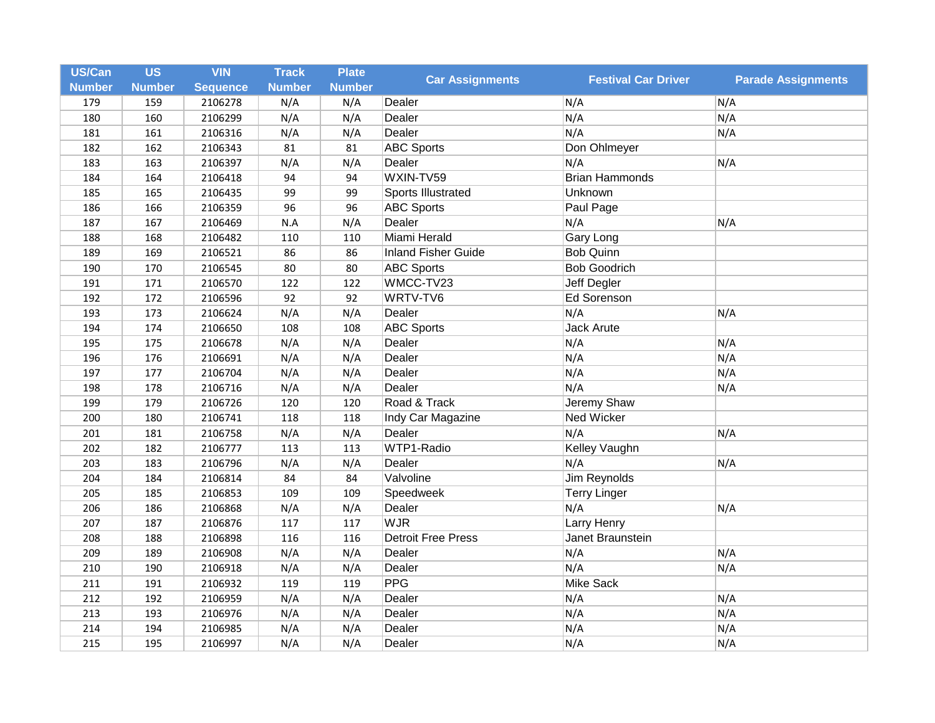| US/Can<br><b>Number</b> | <b>US</b><br><b>Number</b> | <b>VIN</b><br><b>Sequence</b> | <b>Track</b><br><b>Number</b> | <b>Plate</b><br><b>Number</b> | <b>Car Assignments</b>     | <b>Festival Car Driver</b> | <b>Parade Assignments</b> |
|-------------------------|----------------------------|-------------------------------|-------------------------------|-------------------------------|----------------------------|----------------------------|---------------------------|
|                         |                            | 2106278                       |                               |                               | Dealer                     | N/A                        |                           |
| 179<br>180              | 159<br>160                 | 2106299                       | N/A<br>N/A                    | N/A<br>N/A                    | Dealer                     | N/A                        | N/A<br>N/A                |
| 181                     | 161                        | 2106316                       | N/A                           | N/A                           | Dealer                     | N/A                        | N/A                       |
| 182                     | 162                        | 2106343                       | 81                            | 81                            | <b>ABC Sports</b>          | Don Ohlmeyer               |                           |
| 183                     | 163                        | 2106397                       | N/A                           | N/A                           | Dealer                     | N/A                        | N/A                       |
|                         |                            |                               | 94                            |                               | WXIN-TV59                  | <b>Brian Hammonds</b>      |                           |
| 184                     | 164                        | 2106418                       |                               | 94                            |                            |                            |                           |
| 185                     | 165                        | 2106435                       | 99                            | 99                            | Sports Illustrated         | Unknown                    |                           |
| 186                     | 166                        | 2106359                       | 96                            | 96                            | <b>ABC Sports</b>          | Paul Page                  |                           |
| 187                     | 167                        | 2106469                       | N.A                           | N/A                           | Dealer                     | N/A                        | N/A                       |
| 188                     | 168                        | 2106482                       | 110                           | 110                           | Miami Herald               | Gary Long                  |                           |
| 189                     | 169                        | 2106521                       | 86                            | 86                            | <b>Inland Fisher Guide</b> | <b>Bob Quinn</b>           |                           |
| 190                     | 170                        | 2106545                       | 80                            | 80                            | <b>ABC Sports</b>          | <b>Bob Goodrich</b>        |                           |
| 191                     | 171                        | 2106570                       | 122                           | 122                           | WMCC-TV23                  | Jeff Degler                |                           |
| 192                     | 172                        | 2106596                       | 92                            | 92                            | WRTV-TV6                   | <b>Ed Sorenson</b>         |                           |
| 193                     | 173                        | 2106624                       | N/A                           | N/A                           | Dealer                     | N/A                        | N/A                       |
| 194                     | 174                        | 2106650                       | 108                           | 108                           | <b>ABC Sports</b>          | Jack Arute                 |                           |
| 195                     | 175                        | 2106678                       | N/A                           | N/A                           | Dealer                     | N/A                        | N/A                       |
| 196                     | 176                        | 2106691                       | N/A                           | N/A                           | Dealer                     | N/A                        | N/A                       |
| 197                     | 177                        | 2106704                       | N/A                           | N/A                           | Dealer                     | N/A                        | N/A                       |
| 198                     | 178                        | 2106716                       | N/A                           | N/A                           | Dealer                     | N/A                        | N/A                       |
| 199                     | 179                        | 2106726                       | 120                           | 120                           | Road & Track               | Jeremy Shaw                |                           |
| 200                     | 180                        | 2106741                       | 118                           | 118                           | Indy Car Magazine          | Ned Wicker                 |                           |
| 201                     | 181                        | 2106758                       | N/A                           | N/A                           | Dealer                     | N/A                        | N/A                       |
| 202                     | 182                        | 2106777                       | 113                           | 113                           | WTP1-Radio                 | Kelley Vaughn              |                           |
| 203                     | 183                        | 2106796                       | N/A                           | N/A                           | Dealer                     | N/A                        | N/A                       |
| 204                     | 184                        | 2106814                       | 84                            | 84                            | Valvoline                  | <b>Jim Reynolds</b>        |                           |
| 205                     | 185                        | 2106853                       | 109                           | 109                           | Speedweek                  | <b>Terry Linger</b>        |                           |
| 206                     | 186                        | 2106868                       | N/A                           | N/A                           | Dealer                     | N/A                        | N/A                       |
| 207                     | 187                        | 2106876                       | 117                           | 117                           | <b>WJR</b>                 | <b>Larry Henry</b>         |                           |
| 208                     | 188                        | 2106898                       | 116                           | 116                           | <b>Detroit Free Press</b>  | Janet Braunstein           |                           |
| 209                     | 189                        | 2106908                       | N/A                           | N/A                           | Dealer                     | N/A                        | N/A                       |
| 210                     | 190                        | 2106918                       | N/A                           | N/A                           | Dealer                     | N/A                        | N/A                       |
| 211                     | 191                        | 2106932                       | 119                           | 119                           | PPG                        | <b>Mike Sack</b>           |                           |
| 212                     | 192                        | 2106959                       | N/A                           | N/A                           | Dealer                     | N/A                        | N/A                       |
| 213                     | 193                        | 2106976                       | N/A                           | N/A                           | Dealer                     | N/A                        | N/A                       |
| 214                     | 194                        | 2106985                       | N/A                           | N/A                           | Dealer                     | N/A                        | N/A                       |
|                         |                            |                               |                               |                               |                            |                            |                           |
| 215                     | 195                        | 2106997                       | N/A                           | N/A                           | Dealer                     | N/A                        | N/A                       |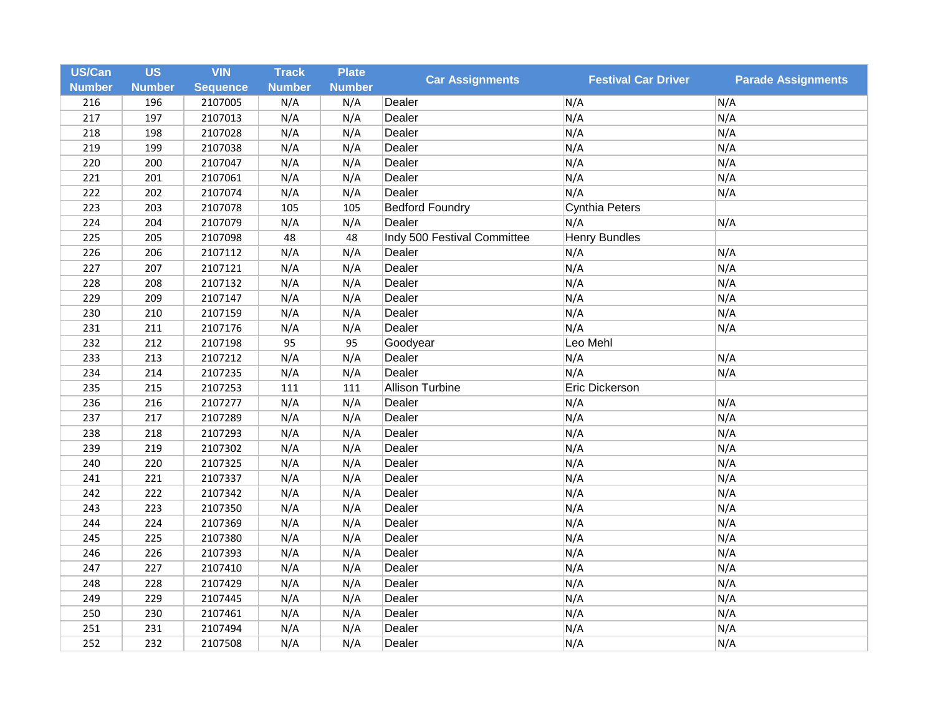| US/Can        | <b>US</b>     | <b>VIN</b>      | <b>Track</b>  | <b>Plate</b>  | <b>Car Assignments</b>      | <b>Festival Car Driver</b> | <b>Parade Assignments</b> |
|---------------|---------------|-----------------|---------------|---------------|-----------------------------|----------------------------|---------------------------|
| <b>Number</b> | <b>Number</b> | <b>Sequence</b> | <b>Number</b> | <b>Number</b> |                             |                            |                           |
| 216           | 196           | 2107005         | N/A           | N/A           | Dealer                      | N/A                        | N/A                       |
| 217           | 197           | 2107013         | N/A           | N/A           | Dealer                      | N/A                        | N/A                       |
| 218           | 198           | 2107028         | N/A           | N/A           | Dealer                      | N/A                        | N/A                       |
| 219           | 199           | 2107038         | N/A           | N/A           | Dealer                      | N/A                        | N/A                       |
| 220           | 200           | 2107047         | N/A           | N/A           | Dealer                      | N/A                        | N/A                       |
| 221           | 201           | 2107061         | N/A           | N/A           | Dealer                      | N/A                        | N/A                       |
| 222           | 202           | 2107074         | N/A           | N/A           | Dealer                      | N/A                        | N/A                       |
| 223           | 203           | 2107078         | 105           | 105           | <b>Bedford Foundry</b>      | Cynthia Peters             |                           |
| 224           | 204           | 2107079         | N/A           | N/A           | Dealer                      | N/A                        | N/A                       |
| 225           | 205           | 2107098         | 48            | 48            | Indy 500 Festival Committee | Henry Bundles              |                           |
| 226           | 206           | 2107112         | N/A           | N/A           | Dealer                      | N/A                        | N/A                       |
| 227           | 207           | 2107121         | N/A           | N/A           | Dealer                      | N/A                        | N/A                       |
| 228           | 208           | 2107132         | N/A           | N/A           | Dealer                      | N/A                        | N/A                       |
| 229           | 209           | 2107147         | N/A           | N/A           | Dealer                      | N/A                        | N/A                       |
| 230           | 210           | 2107159         | N/A           | N/A           | Dealer                      | N/A                        | N/A                       |
| 231           | 211           | 2107176         | N/A           | N/A           | Dealer                      | N/A                        | N/A                       |
| 232           | 212           | 2107198         | 95            | 95            | Goodyear                    | Leo Mehl                   |                           |
| 233           | 213           | 2107212         | N/A           | N/A           | Dealer                      | N/A                        | N/A                       |
| 234           | 214           | 2107235         | N/A           | N/A           | Dealer                      | N/A                        | N/A                       |
| 235           | 215           | 2107253         | 111           | 111           | Allison Turbine             | Eric Dickerson             |                           |
| 236           | 216           | 2107277         | N/A           | N/A           | Dealer                      | N/A                        | N/A                       |
| 237           | 217           | 2107289         | N/A           | N/A           | Dealer                      | N/A                        | N/A                       |
| 238           | 218           | 2107293         | N/A           | N/A           | Dealer                      | N/A                        | N/A                       |
| 239           | 219           | 2107302         | N/A           | N/A           | Dealer                      | N/A                        | N/A                       |
| 240           | 220           | 2107325         | N/A           | N/A           | Dealer                      | N/A                        | N/A                       |
| 241           | 221           | 2107337         | N/A           | N/A           | Dealer                      | N/A                        | N/A                       |
| 242           | 222           | 2107342         | N/A           | N/A           | Dealer                      | N/A                        | N/A                       |
| 243           | 223           | 2107350         | N/A           | N/A           | Dealer                      | N/A                        | N/A                       |
| 244           | 224           | 2107369         | N/A           | N/A           | Dealer                      | N/A                        | N/A                       |
| 245           | 225           | 2107380         | N/A           | N/A           | Dealer                      | N/A                        | N/A                       |
| 246           | 226           | 2107393         | N/A           | N/A           | Dealer                      | N/A                        | N/A                       |
| 247           | 227           | 2107410         | N/A           | N/A           | Dealer                      | N/A                        | N/A                       |
| 248           | 228           | 2107429         | N/A           | N/A           | Dealer                      | N/A                        | N/A                       |
| 249           | 229           | 2107445         | N/A           | N/A           | Dealer                      | N/A                        | N/A                       |
| 250           | 230           | 2107461         | N/A           | N/A           | Dealer                      | N/A                        | N/A                       |
| 251           | 231           | 2107494         | N/A           | N/A           | Dealer                      | N/A                        | N/A                       |
| 252           | 232           | 2107508         | N/A           | N/A           | Dealer                      | N/A                        | N/A                       |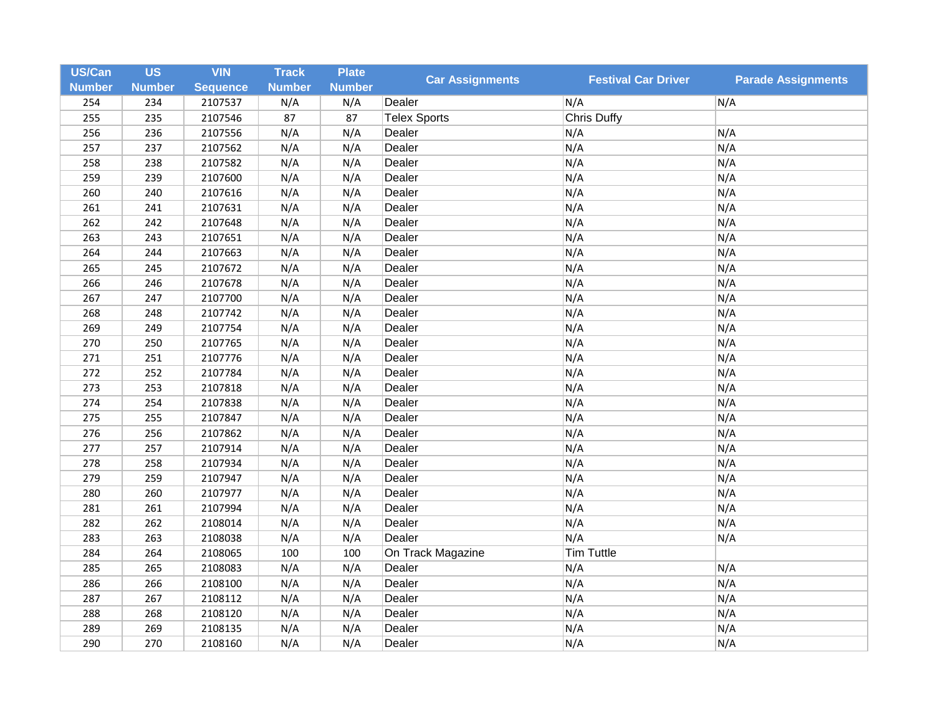| <b>US/Can</b> | <b>US</b>     | <b>VIN</b>      | <b>Track</b>  | <b>Plate</b>  | <b>Car Assignments</b> | <b>Festival Car Driver</b> | <b>Parade Assignments</b> |
|---------------|---------------|-----------------|---------------|---------------|------------------------|----------------------------|---------------------------|
| <b>Number</b> | <b>Number</b> | <b>Sequence</b> | <b>Number</b> | <b>Number</b> |                        |                            |                           |
| 254           | 234           | 2107537         | N/A           | N/A           | Dealer                 | N/A                        | N/A                       |
| 255           | 235           | 2107546         | 87            | 87            | <b>Telex Sports</b>    | <b>Chris Duffy</b>         |                           |
| 256           | 236           | 2107556         | N/A           | N/A           | Dealer                 | N/A                        | N/A                       |
| 257           | 237           | 2107562         | N/A           | N/A           | Dealer                 | N/A                        | N/A                       |
| 258           | 238           | 2107582         | N/A           | N/A           | Dealer                 | N/A                        | N/A                       |
| 259           | 239           | 2107600         | N/A           | N/A           | Dealer                 | N/A                        | N/A                       |
| 260           | 240           | 2107616         | N/A           | N/A           | Dealer                 | N/A                        | N/A                       |
| 261           | 241           | 2107631         | N/A           | N/A           | Dealer                 | N/A                        | N/A                       |
| 262           | 242           | 2107648         | N/A           | N/A           | Dealer                 | N/A                        | N/A                       |
| 263           | 243           | 2107651         | N/A           | N/A           | Dealer                 | N/A                        | N/A                       |
| 264           | 244           | 2107663         | N/A           | N/A           | Dealer                 | N/A                        | N/A                       |
| 265           | 245           | 2107672         | N/A           | N/A           | Dealer                 | N/A                        | N/A                       |
| 266           | 246           | 2107678         | N/A           | N/A           | Dealer                 | N/A                        | N/A                       |
| 267           | 247           | 2107700         | N/A           | N/A           | Dealer                 | N/A                        | N/A                       |
| 268           | 248           | 2107742         | N/A           | N/A           | Dealer                 | N/A                        | N/A                       |
| 269           | 249           | 2107754         | N/A           | N/A           | Dealer                 | N/A                        | N/A                       |
| 270           | 250           | 2107765         | N/A           | N/A           | Dealer                 | N/A                        | N/A                       |
| 271           | 251           | 2107776         | N/A           | N/A           | Dealer                 | N/A                        | N/A                       |
| 272           | 252           | 2107784         | N/A           | N/A           | Dealer                 | N/A                        | N/A                       |
| 273           | 253           | 2107818         | N/A           | N/A           | Dealer                 | N/A                        | N/A                       |
| 274           | 254           | 2107838         | N/A           | N/A           | Dealer                 | N/A                        | N/A                       |
| 275           | 255           | 2107847         | N/A           | N/A           | Dealer                 | N/A                        | N/A                       |
| 276           | 256           | 2107862         | N/A           | N/A           | Dealer                 | N/A                        | N/A                       |
| 277           | 257           | 2107914         | N/A           | N/A           | Dealer                 | N/A                        | N/A                       |
| 278           | 258           | 2107934         | N/A           | N/A           | Dealer                 | N/A                        | N/A                       |
| 279           | 259           | 2107947         | N/A           | N/A           | Dealer                 | N/A                        | N/A                       |
| 280           | 260           | 2107977         | N/A           | N/A           | Dealer                 | N/A                        | N/A                       |
| 281           | 261           | 2107994         | N/A           | N/A           | Dealer                 | N/A                        | N/A                       |
| 282           | 262           | 2108014         | N/A           | N/A           | Dealer                 | N/A                        | N/A                       |
| 283           | 263           | 2108038         | N/A           | N/A           | Dealer                 | N/A                        | N/A                       |
| 284           | 264           | 2108065         | 100           | 100           | On Track Magazine      | <b>Tim Tuttle</b>          |                           |
| 285           | 265           | 2108083         | N/A           | N/A           | Dealer                 | N/A                        | N/A                       |
| 286           | 266           | 2108100         | N/A           | N/A           | Dealer                 | N/A                        | N/A                       |
| 287           | 267           | 2108112         | N/A           | N/A           | Dealer                 | N/A                        | N/A                       |
| 288           | 268           | 2108120         | N/A           | N/A           | Dealer                 | N/A                        | N/A                       |
| 289           | 269           | 2108135         | N/A           | N/A           | Dealer                 | N/A                        | N/A                       |
| 290           | 270           | 2108160         | N/A           | N/A           | Dealer                 | N/A                        | N/A                       |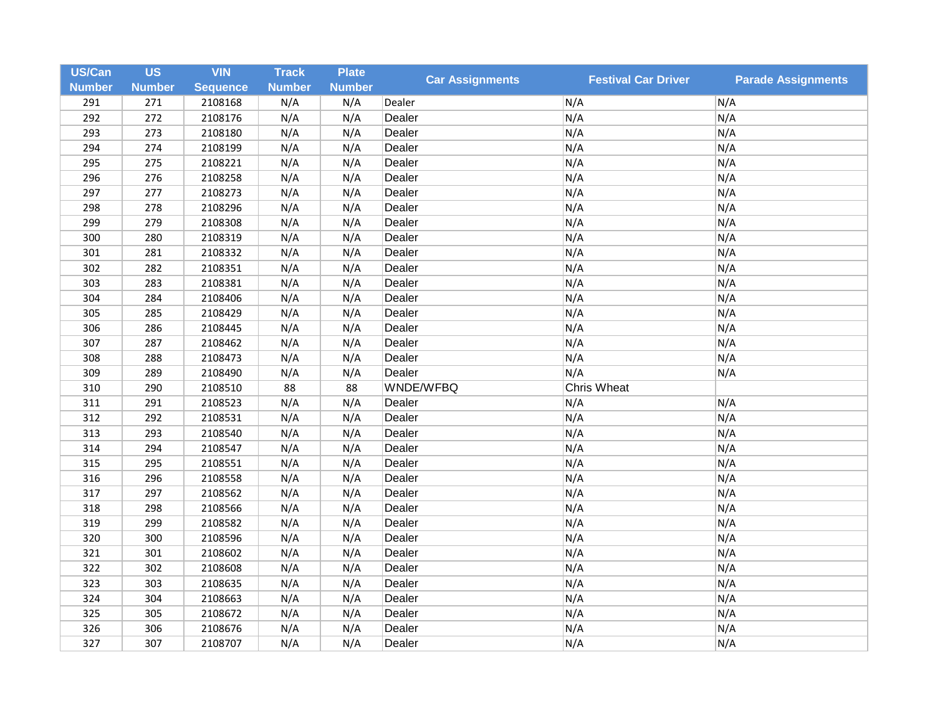| <b>US/Can</b> | <b>US</b>     | <b>VIN</b>      | <b>Track</b>  | <b>Plate</b>  | <b>Car Assignments</b> | <b>Festival Car Driver</b> | <b>Parade Assignments</b> |
|---------------|---------------|-----------------|---------------|---------------|------------------------|----------------------------|---------------------------|
| <b>Number</b> | <b>Number</b> | <b>Sequence</b> | <b>Number</b> | <b>Number</b> |                        |                            |                           |
| 291           | 271           | 2108168         | N/A           | N/A           | Dealer                 | N/A                        | N/A                       |
| 292           | 272           | 2108176         | N/A           | N/A           | Dealer                 | N/A                        | N/A                       |
| 293           | 273           | 2108180         | N/A           | N/A           | Dealer                 | N/A                        | N/A                       |
| 294           | 274           | 2108199         | N/A           | N/A           | Dealer                 | N/A                        | N/A                       |
| 295           | 275           | 2108221         | N/A           | N/A           | Dealer                 | N/A                        | N/A                       |
| 296           | 276           | 2108258         | N/A           | N/A           | Dealer                 | N/A                        | N/A                       |
| 297           | 277           | 2108273         | N/A           | N/A           | Dealer                 | N/A                        | N/A                       |
| 298           | 278           | 2108296         | N/A           | N/A           | Dealer                 | N/A                        | N/A                       |
| 299           | 279           | 2108308         | N/A           | N/A           | Dealer                 | N/A                        | N/A                       |
| 300           | 280           | 2108319         | N/A           | N/A           | Dealer                 | N/A                        | N/A                       |
| 301           | 281           | 2108332         | N/A           | N/A           | Dealer                 | N/A                        | N/A                       |
| 302           | 282           | 2108351         | N/A           | N/A           | Dealer                 | N/A                        | N/A                       |
| 303           | 283           | 2108381         | N/A           | N/A           | Dealer                 | N/A                        | N/A                       |
| 304           | 284           | 2108406         | N/A           | N/A           | Dealer                 | N/A                        | N/A                       |
| 305           | 285           | 2108429         | N/A           | N/A           | Dealer                 | N/A                        | N/A                       |
| 306           | 286           | 2108445         | N/A           | N/A           | Dealer                 | N/A                        | N/A                       |
| 307           | 287           | 2108462         | N/A           | N/A           | Dealer                 | N/A                        | N/A                       |
| 308           | 288           | 2108473         | N/A           | N/A           | Dealer                 | N/A                        | N/A                       |
| 309           | 289           | 2108490         | N/A           | N/A           | Dealer                 | N/A                        | N/A                       |
| 310           | 290           | 2108510         | 88            | 88            | WNDE/WFBQ              | <b>Chris Wheat</b>         |                           |
| 311           | 291           | 2108523         | N/A           | N/A           | Dealer                 | N/A                        | N/A                       |
| 312           | 292           | 2108531         | N/A           | N/A           | Dealer                 | N/A                        | N/A                       |
| 313           | 293           | 2108540         | N/A           | N/A           | Dealer                 | N/A                        | N/A                       |
| 314           | 294           | 2108547         | N/A           | N/A           | Dealer                 | N/A                        | N/A                       |
| 315           | 295           | 2108551         | N/A           | N/A           | Dealer                 | N/A                        | N/A                       |
| 316           | 296           | 2108558         | N/A           | N/A           | Dealer                 | N/A                        | N/A                       |
| 317           | 297           | 2108562         | N/A           | N/A           | Dealer                 | N/A                        | N/A                       |
| 318           | 298           | 2108566         | N/A           | N/A           | Dealer                 | N/A                        | N/A                       |
| 319           | 299           | 2108582         | N/A           | N/A           | Dealer                 | N/A                        | N/A                       |
| 320           | 300           | 2108596         | N/A           | N/A           | Dealer                 | N/A                        | N/A                       |
| 321           | 301           | 2108602         | N/A           | N/A           | Dealer                 | N/A                        | N/A                       |
| 322           | 302           | 2108608         | N/A           | N/A           | Dealer                 | N/A                        | N/A                       |
| 323           | 303           | 2108635         | N/A           | N/A           | Dealer                 | N/A                        | N/A                       |
| 324           | 304           | 2108663         | N/A           | N/A           | Dealer                 | N/A                        | N/A                       |
| 325           | 305           | 2108672         | N/A           | N/A           | Dealer                 | N/A                        | N/A                       |
| 326           | 306           | 2108676         | N/A           | N/A           | Dealer                 | N/A                        | N/A                       |
| 327           | 307           | 2108707         | N/A           | N/A           | Dealer                 | N/A                        | N/A                       |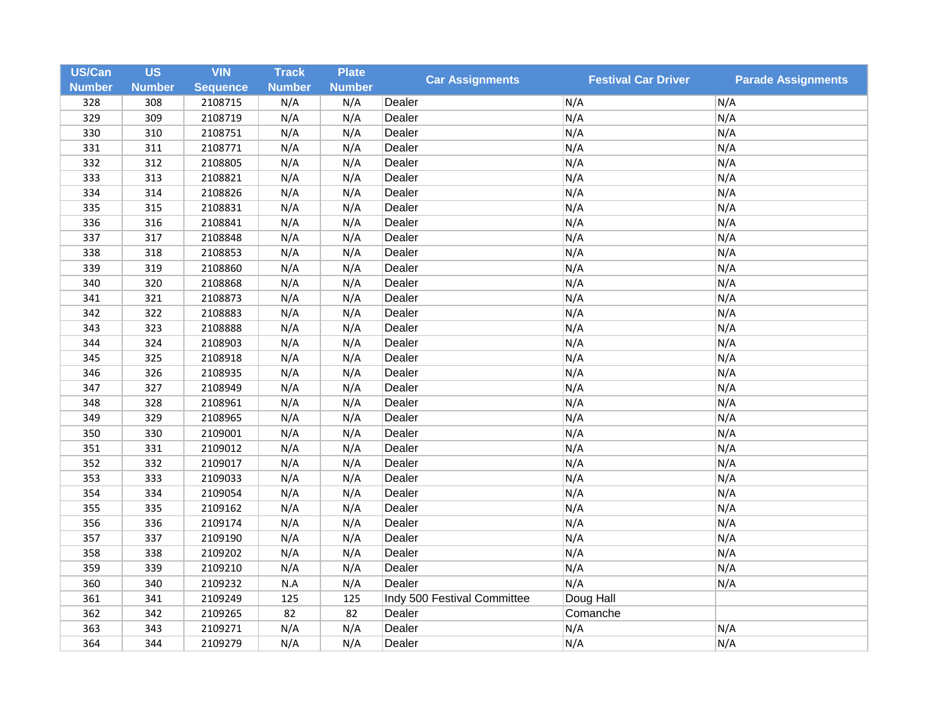| US/Can        | <b>US</b>     | <b>VIN</b>      | <b>Track</b>  | <b>Plate</b>  |                             |                            |                           |
|---------------|---------------|-----------------|---------------|---------------|-----------------------------|----------------------------|---------------------------|
| <b>Number</b> | <b>Number</b> | <b>Sequence</b> | <b>Number</b> | <b>Number</b> | <b>Car Assignments</b>      | <b>Festival Car Driver</b> | <b>Parade Assignments</b> |
| 328           | 308           | 2108715         | N/A           | N/A           | Dealer                      | N/A                        | N/A                       |
| 329           | 309           | 2108719         | N/A           | N/A           | Dealer                      | N/A                        | N/A                       |
| 330           | 310           | 2108751         | N/A           | N/A           | Dealer                      | N/A                        | N/A                       |
| 331           | 311           | 2108771         | N/A           | N/A           | Dealer                      | N/A                        | N/A                       |
| 332           | 312           | 2108805         | N/A           | N/A           | Dealer                      | N/A                        | N/A                       |
| 333           | 313           | 2108821         | N/A           | N/A           | Dealer                      | N/A                        | N/A                       |
| 334           | 314           | 2108826         | N/A           | N/A           | Dealer                      | N/A                        | N/A                       |
| 335           | 315           | 2108831         | N/A           | N/A           | Dealer                      | N/A                        | N/A                       |
| 336           | 316           | 2108841         | N/A           | N/A           | Dealer                      | N/A                        | N/A                       |
| 337           | 317           | 2108848         | N/A           | N/A           | Dealer                      | N/A                        | N/A                       |
| 338           | 318           | 2108853         | N/A           | N/A           | Dealer                      | N/A                        | N/A                       |
| 339           | 319           | 2108860         | N/A           | N/A           | Dealer                      | N/A                        | N/A                       |
| 340           | 320           | 2108868         | N/A           | N/A           | Dealer                      | N/A                        | N/A                       |
| 341           | 321           | 2108873         | N/A           | N/A           | Dealer                      | N/A                        | N/A                       |
| 342           | 322           | 2108883         | N/A           | N/A           | Dealer                      | N/A                        | N/A                       |
| 343           | 323           | 2108888         | N/A           | N/A           | Dealer                      | N/A                        | N/A                       |
| 344           | 324           | 2108903         | N/A           | N/A           | Dealer                      | N/A                        | N/A                       |
| 345           | 325           | 2108918         | N/A           | N/A           | Dealer                      | N/A                        | N/A                       |
| 346           | 326           | 2108935         | N/A           | N/A           | Dealer                      | N/A                        | N/A                       |
| 347           | 327           | 2108949         | N/A           | N/A           | Dealer                      | N/A                        | N/A                       |
| 348           | 328           | 2108961         | N/A           | N/A           | Dealer                      | N/A                        | N/A                       |
| 349           | 329           | 2108965         | N/A           | N/A           | Dealer                      | N/A                        | N/A                       |
| 350           | 330           | 2109001         | N/A           | N/A           | Dealer                      | N/A                        | N/A                       |
| 351           | 331           | 2109012         | N/A           | N/A           | Dealer                      | N/A                        | N/A                       |
| 352           | 332           | 2109017         | N/A           | N/A           | Dealer                      | N/A                        | N/A                       |
| 353           | 333           | 2109033         | N/A           | N/A           | Dealer                      | N/A                        | N/A                       |
| 354           | 334           | 2109054         | N/A           | N/A           | Dealer                      | N/A                        | N/A                       |
| 355           | 335           | 2109162         | N/A           | N/A           | Dealer                      | N/A                        | N/A                       |
| 356           | 336           | 2109174         | N/A           | N/A           | Dealer                      | N/A                        | N/A                       |
| 357           | 337           | 2109190         | N/A           | N/A           | Dealer                      | N/A                        | N/A                       |
| 358           | 338           | 2109202         | N/A           | N/A           | Dealer                      | N/A                        | N/A                       |
| 359           | 339           | 2109210         | N/A           | N/A           | Dealer                      | N/A                        | N/A                       |
| 360           | 340           | 2109232         | N.A           | N/A           | Dealer                      | N/A                        | N/A                       |
| 361           | 341           | 2109249         | 125           | 125           | Indy 500 Festival Committee | Doug Hall                  |                           |
| 362           | 342           | 2109265         | 82            | 82            | Dealer                      | Comanche                   |                           |
| 363           | 343           | 2109271         | N/A           | N/A           | Dealer                      | N/A                        | N/A                       |
| 364           | 344           | 2109279         | N/A           | N/A           | Dealer                      | N/A                        | N/A                       |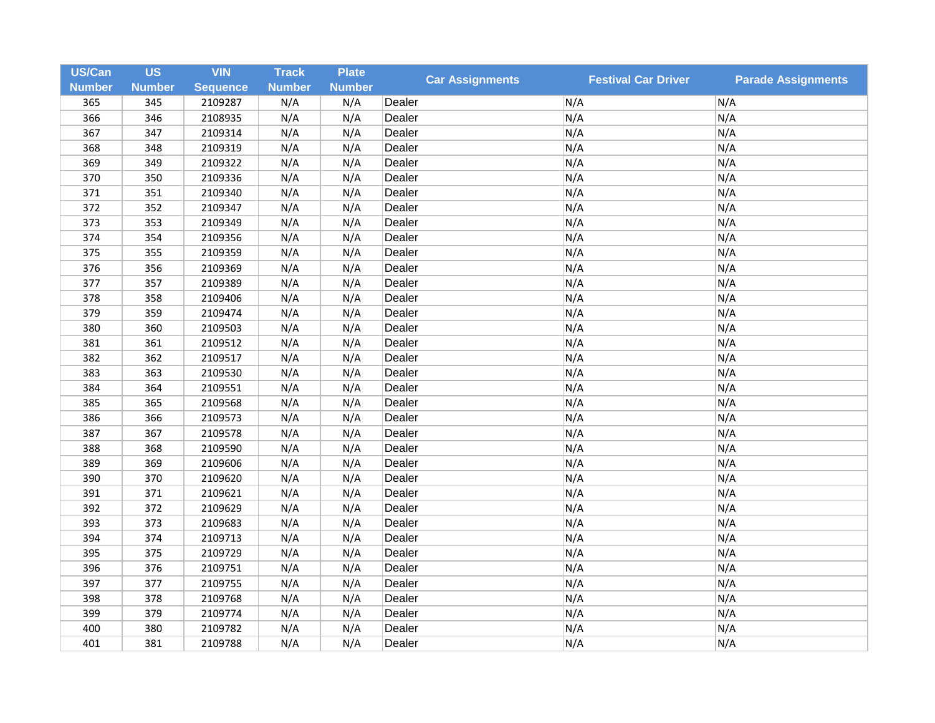| <b>US/Can</b> | <b>US</b>     | <b>VIN</b>      | <b>Track</b>  | <b>Plate</b>  | <b>Car Assignments</b> |                            | <b>Parade Assignments</b> |
|---------------|---------------|-----------------|---------------|---------------|------------------------|----------------------------|---------------------------|
| <b>Number</b> | <b>Number</b> | <b>Sequence</b> | <b>Number</b> | <b>Number</b> |                        | <b>Festival Car Driver</b> |                           |
| 365           | 345           | 2109287         | N/A           | N/A           | Dealer                 | N/A                        | N/A                       |
| 366           | 346           | 2108935         | N/A           | N/A           | Dealer                 | N/A                        | N/A                       |
| 367           | 347           | 2109314         | N/A           | N/A           | Dealer                 | N/A                        | N/A                       |
| 368           | 348           | 2109319         | N/A           | N/A           | Dealer                 | N/A                        | N/A                       |
| 369           | 349           | 2109322         | N/A           | N/A           | Dealer                 | N/A                        | N/A                       |
| 370           | 350           | 2109336         | N/A           | N/A           | Dealer                 | N/A                        | N/A                       |
| 371           | 351           | 2109340         | N/A           | N/A           | Dealer                 | N/A                        | N/A                       |
| 372           | 352           | 2109347         | N/A           | N/A           | Dealer                 | N/A                        | N/A                       |
| 373           | 353           | 2109349         | N/A           | N/A           | Dealer                 | N/A                        | N/A                       |
| 374           | 354           | 2109356         | N/A           | N/A           | Dealer                 | N/A                        | N/A                       |
| 375           | 355           | 2109359         | N/A           | N/A           | Dealer                 | N/A                        | N/A                       |
| 376           | 356           | 2109369         | N/A           | N/A           | Dealer                 | N/A                        | N/A                       |
| 377           | 357           | 2109389         | N/A           | N/A           | Dealer                 | N/A                        | N/A                       |
| 378           | 358           | 2109406         | N/A           | N/A           | Dealer                 | N/A                        | N/A                       |
| 379           | 359           | 2109474         | N/A           | N/A           | Dealer                 | N/A                        | N/A                       |
| 380           | 360           | 2109503         | N/A           | N/A           | Dealer                 | N/A                        | N/A                       |
| 381           | 361           | 2109512         | N/A           | N/A           | Dealer                 | N/A                        | N/A                       |
| 382           | 362           | 2109517         | N/A           | N/A           | Dealer                 | N/A                        | N/A                       |
| 383           | 363           | 2109530         | N/A           | N/A           | Dealer                 | N/A                        | N/A                       |
| 384           | 364           | 2109551         | N/A           | N/A           | Dealer                 | N/A                        | N/A                       |
| 385           | 365           | 2109568         | N/A           | N/A           | Dealer                 | N/A                        | N/A                       |
| 386           | 366           | 2109573         | N/A           | N/A           | Dealer                 | N/A                        | N/A                       |
| 387           | 367           | 2109578         | N/A           | N/A           | Dealer                 | N/A                        | N/A                       |
| 388           | 368           | 2109590         | N/A           | N/A           | Dealer                 | N/A                        | N/A                       |
| 389           | 369           | 2109606         | N/A           | N/A           | Dealer                 | N/A                        | N/A                       |
| 390           | 370           | 2109620         | N/A           | N/A           | Dealer                 | N/A                        | N/A                       |
| 391           | 371           | 2109621         | N/A           | N/A           | Dealer                 | N/A                        | N/A                       |
| 392           | 372           | 2109629         | N/A           | N/A           | Dealer                 | N/A                        | N/A                       |
| 393           | 373           | 2109683         | N/A           | N/A           | Dealer                 | N/A                        | N/A                       |
| 394           | 374           | 2109713         | N/A           | N/A           | Dealer                 | N/A                        | N/A                       |
| 395           | 375           | 2109729         | N/A           | N/A           | Dealer                 | N/A                        | N/A                       |
| 396           | 376           | 2109751         | N/A           | N/A           | Dealer                 | N/A                        | N/A                       |
| 397           | 377           | 2109755         | N/A           | N/A           | Dealer                 | N/A                        | N/A                       |
| 398           | 378           | 2109768         | N/A           | N/A           | Dealer                 | N/A                        | N/A                       |
| 399           | 379           | 2109774         | N/A           | N/A           | Dealer                 | N/A                        | N/A                       |
| 400           | 380           | 2109782         | N/A           | N/A           | Dealer                 | N/A                        | N/A                       |
| 401           | 381           | 2109788         | N/A           | N/A           | Dealer                 | N/A                        | N/A                       |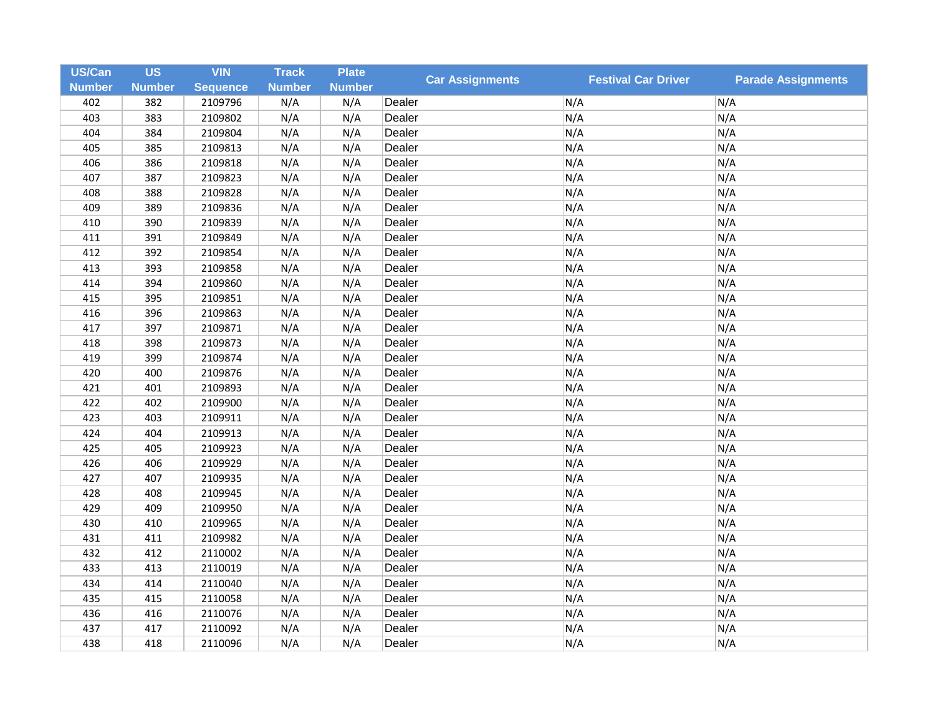| <b>US/Can</b> | <b>US</b>     | <b>VIN</b>      | <b>Track</b>  | <b>Plate</b>  |                        |                            |                           |
|---------------|---------------|-----------------|---------------|---------------|------------------------|----------------------------|---------------------------|
| <b>Number</b> | <b>Number</b> | <b>Sequence</b> | <b>Number</b> | <b>Number</b> | <b>Car Assignments</b> | <b>Festival Car Driver</b> | <b>Parade Assignments</b> |
| 402           | 382           | 2109796         | N/A           | N/A           | Dealer                 | N/A                        | N/A                       |
| 403           | 383           | 2109802         | N/A           | N/A           | Dealer                 | N/A                        | N/A                       |
| 404           | 384           | 2109804         | N/A           | N/A           | Dealer                 | N/A                        | N/A                       |
| 405           | 385           | 2109813         | N/A           | N/A           | Dealer                 | N/A                        | N/A                       |
| 406           | 386           | 2109818         | N/A           | N/A           | Dealer                 | N/A                        | N/A                       |
| 407           | 387           | 2109823         | N/A           | N/A           | Dealer                 | N/A                        | N/A                       |
| 408           | 388           | 2109828         | N/A           | N/A           | Dealer                 | N/A                        | N/A                       |
| 409           | 389           | 2109836         | N/A           | N/A           | Dealer                 | N/A                        | N/A                       |
| 410           | 390           | 2109839         | N/A           | N/A           | Dealer                 | N/A                        | N/A                       |
| 411           | 391           | 2109849         | N/A           | N/A           | Dealer                 | N/A                        | N/A                       |
| 412           | 392           | 2109854         | N/A           | N/A           | Dealer                 | N/A                        | N/A                       |
| 413           | 393           | 2109858         | N/A           | N/A           | Dealer                 | N/A                        | N/A                       |
| 414           | 394           | 2109860         | N/A           | N/A           | Dealer                 | N/A                        | N/A                       |
| 415           | 395           | 2109851         | N/A           | N/A           | Dealer                 | N/A                        | N/A                       |
| 416           | 396           | 2109863         | N/A           | N/A           | Dealer                 | N/A                        | N/A                       |
| 417           | 397           | 2109871         | N/A           | N/A           | Dealer                 | N/A                        | N/A                       |
| 418           | 398           | 2109873         | N/A           | N/A           | Dealer                 | N/A                        | N/A                       |
| 419           | 399           | 2109874         | N/A           | N/A           | Dealer                 | N/A                        | N/A                       |
| 420           | 400           | 2109876         | N/A           | N/A           | Dealer                 | N/A                        | N/A                       |
| 421           | 401           | 2109893         | N/A           | N/A           | Dealer                 | N/A                        | N/A                       |
| 422           | 402           | 2109900         | N/A           | N/A           | Dealer                 | N/A                        | N/A                       |
| 423           | 403           | 2109911         | N/A           | N/A           | Dealer                 | N/A                        | N/A                       |
| 424           | 404           | 2109913         | N/A           | N/A           | Dealer                 | N/A                        | N/A                       |
| 425           | 405           | 2109923         | N/A           | N/A           | Dealer                 | N/A                        | N/A                       |
| 426           | 406           | 2109929         | N/A           | N/A           | Dealer                 | N/A                        | N/A                       |
| 427           | 407           | 2109935         | N/A           | N/A           | Dealer                 | N/A                        | N/A                       |
| 428           | 408           | 2109945         | N/A           | N/A           | Dealer                 | N/A                        | N/A                       |
| 429           | 409           | 2109950         | N/A           | N/A           | Dealer                 | N/A                        | N/A                       |
| 430           | 410           | 2109965         | N/A           | N/A           | Dealer                 | N/A                        | N/A                       |
| 431           | 411           | 2109982         | N/A           | N/A           | Dealer                 | N/A                        | N/A                       |
| 432           | 412           | 2110002         | N/A           | N/A           | Dealer                 | N/A                        | N/A                       |
| 433           | 413           | 2110019         | N/A           | N/A           | Dealer                 | N/A                        | N/A                       |
| 434           | 414           | 2110040         | N/A           | N/A           | Dealer                 | N/A                        | N/A                       |
| 435           | 415           | 2110058         | N/A           | N/A           | Dealer                 | N/A                        | N/A                       |
| 436           | 416           | 2110076         | N/A           | N/A           | Dealer                 | N/A                        | N/A                       |
| 437           | 417           | 2110092         | N/A           | N/A           | Dealer                 | N/A                        | N/A                       |
| 438           | 418           | 2110096         | N/A           | N/A           | Dealer                 | N/A                        | N/A                       |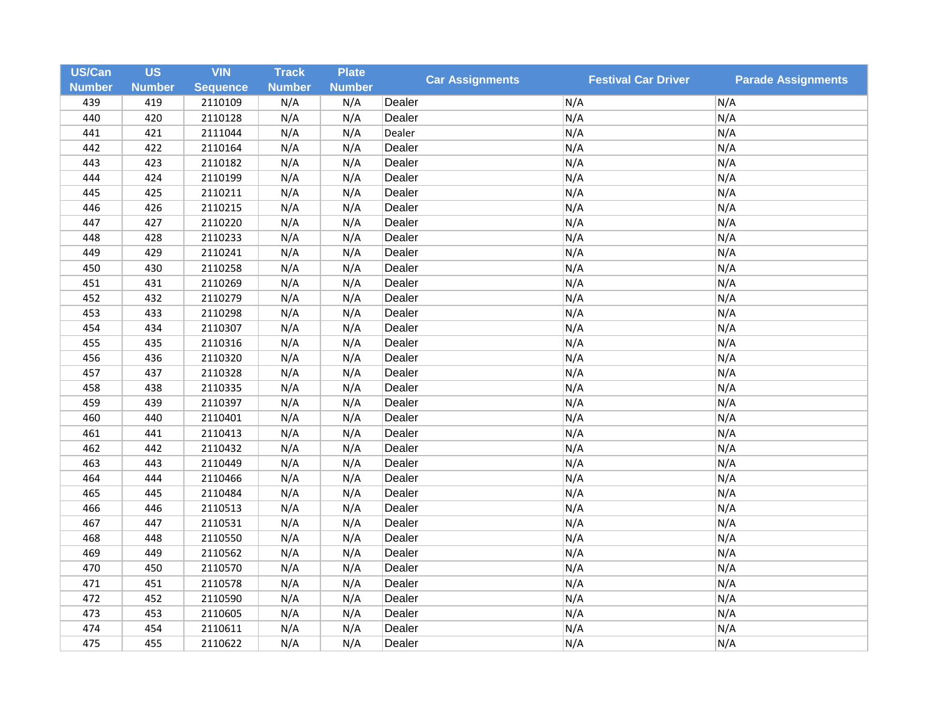| <b>US/Can</b> | <b>US</b>     | <b>VIN</b>      | <b>Track</b>  | <b>Plate</b>  | <b>Car Assignments</b> | <b>Festival Car Driver</b> | <b>Parade Assignments</b> |
|---------------|---------------|-----------------|---------------|---------------|------------------------|----------------------------|---------------------------|
| <b>Number</b> | <b>Number</b> | <b>Sequence</b> | <b>Number</b> | <b>Number</b> |                        |                            |                           |
| 439           | 419           | 2110109         | N/A           | N/A           | Dealer                 | N/A                        | N/A                       |
| 440           | 420           | 2110128         | N/A           | N/A           | Dealer                 | N/A                        | N/A                       |
| 441           | 421           | 2111044         | N/A           | N/A           | Dealer                 | N/A                        | N/A                       |
| 442           | 422           | 2110164         | N/A           | N/A           | Dealer                 | N/A                        | N/A                       |
| 443           | 423           | 2110182         | N/A           | N/A           | Dealer                 | N/A                        | N/A                       |
| 444           | 424           | 2110199         | N/A           | N/A           | Dealer                 | N/A                        | N/A                       |
| 445           | 425           | 2110211         | N/A           | N/A           | Dealer                 | N/A                        | N/A                       |
| 446           | 426           | 2110215         | N/A           | N/A           | Dealer                 | N/A                        | N/A                       |
| 447           | 427           | 2110220         | N/A           | N/A           | Dealer                 | N/A                        | N/A                       |
| 448           | 428           | 2110233         | N/A           | N/A           | Dealer                 | N/A                        | N/A                       |
| 449           | 429           | 2110241         | N/A           | N/A           | Dealer                 | N/A                        | N/A                       |
| 450           | 430           | 2110258         | N/A           | N/A           | Dealer                 | N/A                        | N/A                       |
| 451           | 431           | 2110269         | N/A           | N/A           | Dealer                 | N/A                        | N/A                       |
| 452           | 432           | 2110279         | N/A           | N/A           | Dealer                 | N/A                        | N/A                       |
| 453           | 433           | 2110298         | N/A           | N/A           | Dealer                 | N/A                        | N/A                       |
| 454           | 434           | 2110307         | N/A           | N/A           | Dealer                 | N/A                        | N/A                       |
| 455           | 435           | 2110316         | N/A           | N/A           | Dealer                 | N/A                        | N/A                       |
| 456           | 436           | 2110320         | N/A           | N/A           | Dealer                 | N/A                        | N/A                       |
| 457           | 437           | 2110328         | N/A           | N/A           | Dealer                 | N/A                        | N/A                       |
| 458           | 438           | 2110335         | N/A           | N/A           | Dealer                 | N/A                        | N/A                       |
| 459           | 439           | 2110397         | N/A           | N/A           | Dealer                 | N/A                        | N/A                       |
| 460           | 440           | 2110401         | N/A           | N/A           | Dealer                 | N/A                        | N/A                       |
| 461           | 441           | 2110413         | N/A           | N/A           | Dealer                 | N/A                        | N/A                       |
| 462           | 442           | 2110432         | N/A           | N/A           | Dealer                 | N/A                        | N/A                       |
| 463           | 443           | 2110449         | N/A           | N/A           | Dealer                 | N/A                        | N/A                       |
| 464           | 444           | 2110466         | N/A           | N/A           | Dealer                 | N/A                        | N/A                       |
| 465           | 445           | 2110484         | N/A           | N/A           | Dealer                 | N/A                        | N/A                       |
| 466           | 446           | 2110513         | N/A           | N/A           | Dealer                 | N/A                        | N/A                       |
| 467           | 447           | 2110531         | N/A           | N/A           | Dealer                 | N/A                        | N/A                       |
| 468           | 448           | 2110550         | N/A           | N/A           | Dealer                 | N/A                        | N/A                       |
| 469           | 449           | 2110562         | N/A           | N/A           | Dealer                 | N/A                        | N/A                       |
| 470           | 450           | 2110570         | N/A           | N/A           | Dealer                 | N/A                        | N/A                       |
| 471           | 451           | 2110578         | N/A           | N/A           | Dealer                 | N/A                        | N/A                       |
| 472           | 452           | 2110590         | N/A           | N/A           | Dealer                 | N/A                        | N/A                       |
| 473           | 453           | 2110605         | N/A           | N/A           | Dealer                 | N/A                        | N/A                       |
| 474           | 454           | 2110611         | N/A           | N/A           | Dealer                 | N/A                        | N/A                       |
| 475           | 455           | 2110622         | N/A           | N/A           | Dealer                 | N/A                        | N/A                       |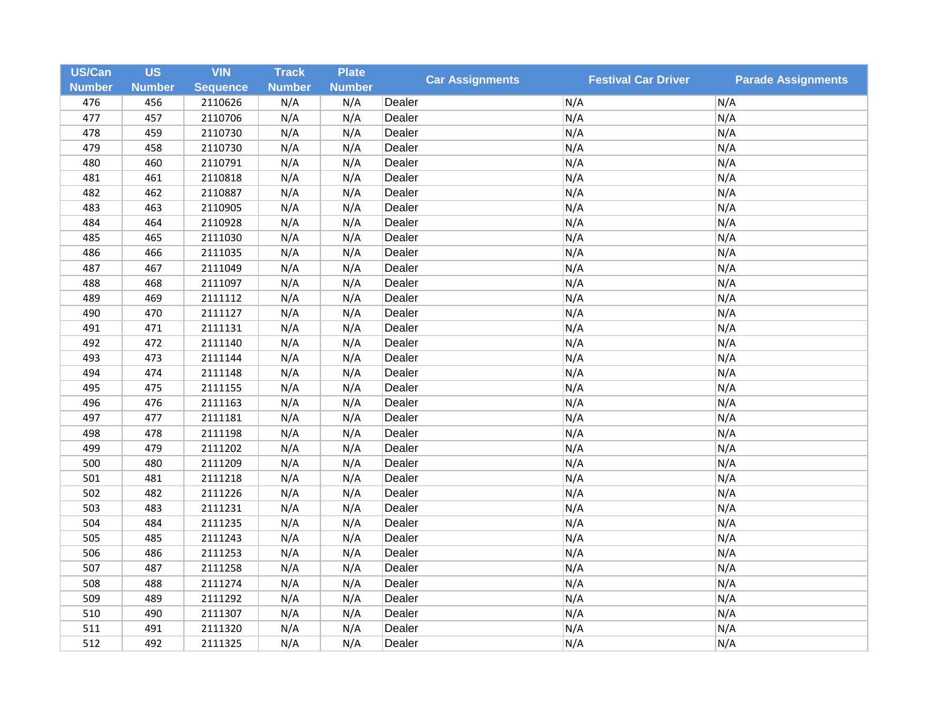| US/Can        | <b>US</b>     | <b>VIN</b>      | <b>Track</b>  | <b>Plate</b>  | <b>Car Assignments</b> |                            | <b>Parade Assignments</b> |
|---------------|---------------|-----------------|---------------|---------------|------------------------|----------------------------|---------------------------|
| <b>Number</b> | <b>Number</b> | <b>Sequence</b> | <b>Number</b> | <b>Number</b> |                        | <b>Festival Car Driver</b> |                           |
| 476           | 456           | 2110626         | N/A           | N/A           | Dealer                 | N/A                        | N/A                       |
| 477           | 457           | 2110706         | N/A           | N/A           | Dealer                 | N/A                        | N/A                       |
| 478           | 459           | 2110730         | N/A           | N/A           | Dealer                 | N/A                        | N/A                       |
| 479           | 458           | 2110730         | N/A           | N/A           | Dealer                 | N/A                        | N/A                       |
| 480           | 460           | 2110791         | N/A           | N/A           | Dealer                 | N/A                        | N/A                       |
| 481           | 461           | 2110818         | N/A           | N/A           | Dealer                 | N/A                        | N/A                       |
| 482           | 462           | 2110887         | N/A           | N/A           | Dealer                 | N/A                        | N/A                       |
| 483           | 463           | 2110905         | N/A           | N/A           | Dealer                 | N/A                        | N/A                       |
| 484           | 464           | 2110928         | N/A           | N/A           | Dealer                 | N/A                        | N/A                       |
| 485           | 465           | 2111030         | N/A           | N/A           | Dealer                 | N/A                        | N/A                       |
| 486           | 466           | 2111035         | N/A           | N/A           | Dealer                 | N/A                        | N/A                       |
| 487           | 467           | 2111049         | N/A           | N/A           | Dealer                 | N/A                        | N/A                       |
| 488           | 468           | 2111097         | N/A           | N/A           | Dealer                 | N/A                        | N/A                       |
| 489           | 469           | 2111112         | N/A           | N/A           | Dealer                 | N/A                        | N/A                       |
| 490           | 470           | 2111127         | N/A           | N/A           | Dealer                 | N/A                        | N/A                       |
| 491           | 471           | 2111131         | N/A           | N/A           | Dealer                 | N/A                        | N/A                       |
| 492           | 472           | 2111140         | N/A           | N/A           | Dealer                 | N/A                        | N/A                       |
| 493           | 473           | 2111144         | N/A           | N/A           | Dealer                 | N/A                        | N/A                       |
| 494           | 474           | 2111148         | N/A           | N/A           | Dealer                 | N/A                        | N/A                       |
| 495           | 475           | 2111155         | N/A           | N/A           | Dealer                 | N/A                        | N/A                       |
| 496           | 476           | 2111163         | N/A           | N/A           | Dealer                 | N/A                        | N/A                       |
| 497           | 477           | 2111181         | N/A           | N/A           | Dealer                 | N/A                        | N/A                       |
| 498           | 478           | 2111198         | N/A           | N/A           | Dealer                 | N/A                        | N/A                       |
| 499           | 479           | 2111202         | N/A           | N/A           | Dealer                 | N/A                        | N/A                       |
| 500           | 480           | 2111209         | N/A           | N/A           | Dealer                 | N/A                        | N/A                       |
| 501           | 481           | 2111218         | N/A           | N/A           | Dealer                 | N/A                        | N/A                       |
| 502           | 482           | 2111226         | N/A           | N/A           | Dealer                 | N/A                        | N/A                       |
| 503           | 483           | 2111231         | N/A           | N/A           | Dealer                 | N/A                        | N/A                       |
| 504           | 484           | 2111235         | N/A           | N/A           | Dealer                 | N/A                        | N/A                       |
| 505           | 485           | 2111243         | N/A           | N/A           | Dealer                 | N/A                        | N/A                       |
| 506           | 486           | 2111253         | N/A           | N/A           | Dealer                 | N/A                        | N/A                       |
| 507           | 487           | 2111258         | N/A           | N/A           | Dealer                 | N/A                        | N/A                       |
| 508           | 488           | 2111274         | N/A           | N/A           | Dealer                 | N/A                        | N/A                       |
| 509           | 489           | 2111292         | N/A           | N/A           | Dealer                 | N/A                        | N/A                       |
| 510           | 490           | 2111307         | N/A           | N/A           | Dealer                 | N/A                        | N/A                       |
| 511           | 491           | 2111320         | N/A           | N/A           | Dealer                 | N/A                        | N/A                       |
| 512           | 492           | 2111325         | N/A           | N/A           | Dealer                 | N/A                        | N/A                       |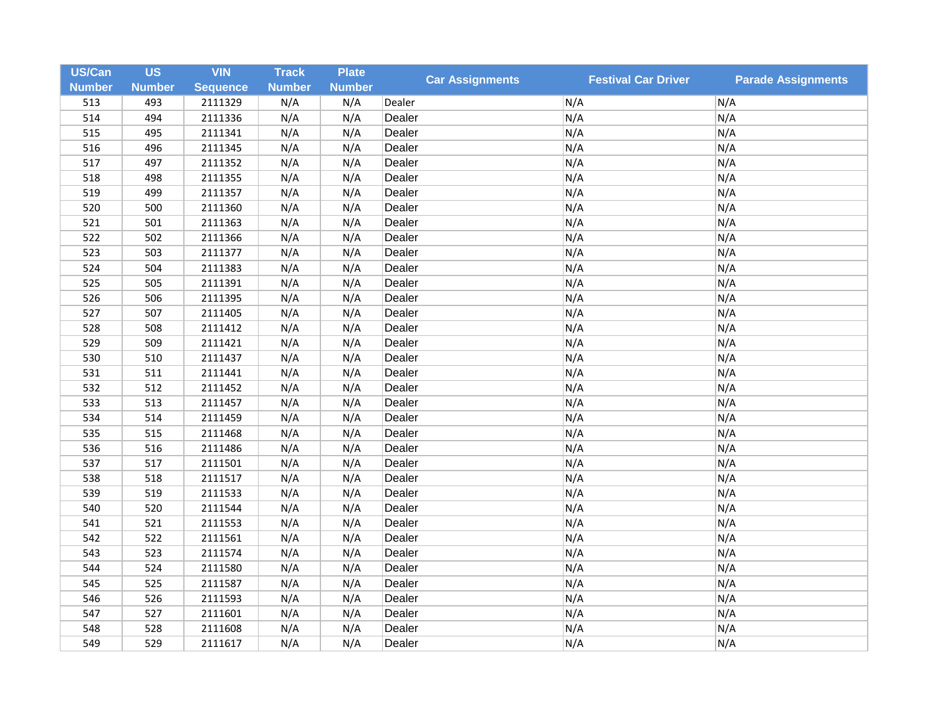| <b>US/Can</b> | <b>US</b>     | <b>VIN</b>      | <b>Track</b>  | <b>Plate</b>  | <b>Car Assignments</b> | <b>Festival Car Driver</b> | <b>Parade Assignments</b> |
|---------------|---------------|-----------------|---------------|---------------|------------------------|----------------------------|---------------------------|
| <b>Number</b> | <b>Number</b> | <b>Sequence</b> | <b>Number</b> | <b>Number</b> |                        |                            |                           |
| 513           | 493           | 2111329         | N/A           | N/A           | Dealer                 | N/A                        | N/A                       |
| 514           | 494           | 2111336         | N/A           | N/A           | Dealer                 | N/A                        | N/A                       |
| 515           | 495           | 2111341         | N/A           | N/A           | Dealer                 | N/A                        | N/A                       |
| 516           | 496           | 2111345         | N/A           | N/A           | Dealer                 | N/A                        | N/A                       |
| 517           | 497           | 2111352         | N/A           | N/A           | Dealer                 | N/A                        | N/A                       |
| 518           | 498           | 2111355         | N/A           | N/A           | Dealer                 | N/A                        | N/A                       |
| 519           | 499           | 2111357         | N/A           | N/A           | Dealer                 | N/A                        | N/A                       |
| 520           | 500           | 2111360         | N/A           | N/A           | Dealer                 | N/A                        | N/A                       |
| 521           | 501           | 2111363         | N/A           | N/A           | Dealer                 | N/A                        | N/A                       |
| 522           | 502           | 2111366         | N/A           | N/A           | Dealer                 | N/A                        | N/A                       |
| 523           | 503           | 2111377         | N/A           | N/A           | Dealer                 | N/A                        | N/A                       |
| 524           | 504           | 2111383         | N/A           | N/A           | Dealer                 | N/A                        | N/A                       |
| 525           | 505           | 2111391         | N/A           | N/A           | Dealer                 | N/A                        | N/A                       |
| 526           | 506           | 2111395         | N/A           | N/A           | Dealer                 | N/A                        | N/A                       |
| 527           | 507           | 2111405         | N/A           | N/A           | Dealer                 | N/A                        | N/A                       |
| 528           | 508           | 2111412         | N/A           | N/A           | Dealer                 | N/A                        | N/A                       |
| 529           | 509           | 2111421         | N/A           | N/A           | Dealer                 | N/A                        | N/A                       |
| 530           | 510           | 2111437         | N/A           | N/A           | Dealer                 | N/A                        | N/A                       |
| 531           | 511           | 2111441         | N/A           | N/A           | Dealer                 | N/A                        | N/A                       |
| 532           | 512           | 2111452         | N/A           | N/A           | Dealer                 | N/A                        | N/A                       |
| 533           | 513           | 2111457         | N/A           | N/A           | Dealer                 | N/A                        | N/A                       |
| 534           | 514           | 2111459         | N/A           | N/A           | Dealer                 | N/A                        | N/A                       |
| 535           | 515           | 2111468         | N/A           | N/A           | Dealer                 | N/A                        | N/A                       |
| 536           | 516           | 2111486         | N/A           | N/A           | Dealer                 | N/A                        | N/A                       |
| 537           | 517           | 2111501         | N/A           | N/A           | Dealer                 | N/A                        | N/A                       |
| 538           | 518           | 2111517         | N/A           | N/A           | Dealer                 | N/A                        | N/A                       |
| 539           | 519           | 2111533         | N/A           | N/A           | Dealer                 | N/A                        | N/A                       |
| 540           | 520           | 2111544         | N/A           | N/A           | Dealer                 | N/A                        | N/A                       |
| 541           | 521           | 2111553         | N/A           | N/A           | Dealer                 | N/A                        | N/A                       |
| 542           | 522           | 2111561         | N/A           | N/A           | Dealer                 | N/A                        | N/A                       |
| 543           | 523           | 2111574         | N/A           | N/A           | Dealer                 | N/A                        | N/A                       |
| 544           | 524           | 2111580         | N/A           | N/A           | Dealer                 | N/A                        | N/A                       |
| 545           | 525           | 2111587         | N/A           | N/A           | Dealer                 | N/A                        | N/A                       |
| 546           | 526           | 2111593         | N/A           | N/A           | Dealer                 | N/A                        | N/A                       |
| 547           | 527           | 2111601         | N/A           | N/A           | Dealer                 | N/A                        | N/A                       |
| 548           | 528           | 2111608         | N/A           | N/A           | Dealer                 | N/A                        | N/A                       |
| 549           | 529           | 2111617         | N/A           | N/A           | Dealer                 | N/A                        | N/A                       |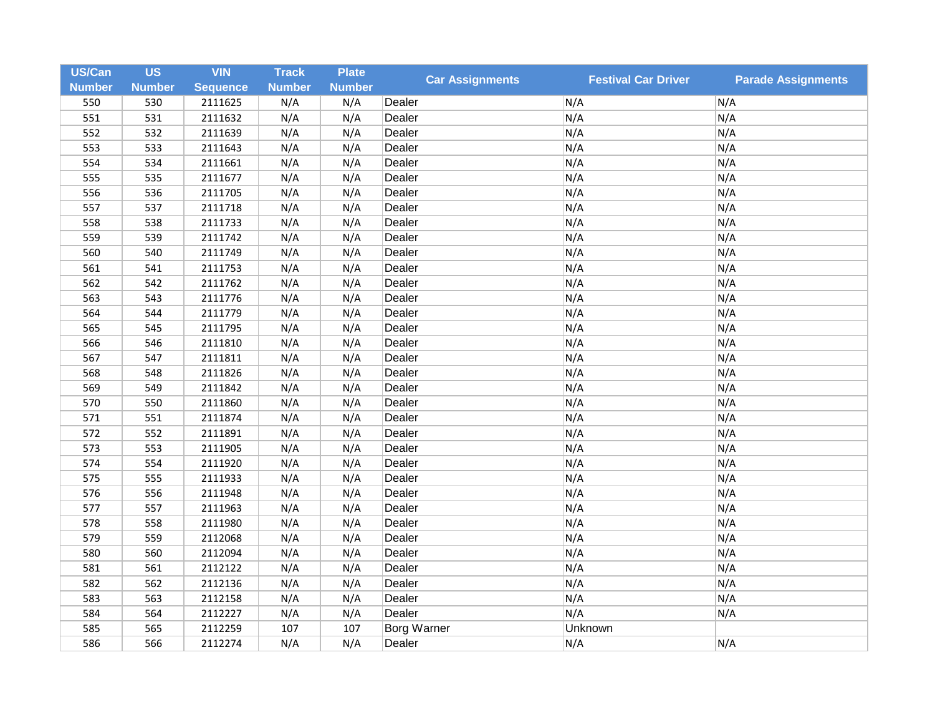| US/Can        | <b>US</b>     | <b>VIN</b>      | <b>Track</b>  | <b>Plate</b>  | <b>Car Assignments</b> | <b>Festival Car Driver</b> | <b>Parade Assignments</b> |
|---------------|---------------|-----------------|---------------|---------------|------------------------|----------------------------|---------------------------|
| <b>Number</b> | <b>Number</b> | <b>Sequence</b> | <b>Number</b> | <b>Number</b> |                        |                            |                           |
| 550           | 530           | 2111625         | N/A           | N/A           | Dealer                 | N/A                        | N/A                       |
| 551           | 531           | 2111632         | N/A           | N/A           | Dealer                 | N/A                        | N/A                       |
| 552           | 532           | 2111639         | N/A           | N/A           | Dealer                 | N/A                        | N/A                       |
| 553           | 533           | 2111643         | N/A           | N/A           | Dealer                 | N/A                        | N/A                       |
| 554           | 534           | 2111661         | N/A           | N/A           | Dealer                 | N/A                        | N/A                       |
| 555           | 535           | 2111677         | N/A           | N/A           | Dealer                 | N/A                        | N/A                       |
| 556           | 536           | 2111705         | N/A           | N/A           | Dealer                 | N/A                        | N/A                       |
| 557           | 537           | 2111718         | N/A           | N/A           | Dealer                 | N/A                        | N/A                       |
| 558           | 538           | 2111733         | N/A           | N/A           | Dealer                 | N/A                        | N/A                       |
| 559           | 539           | 2111742         | N/A           | N/A           | Dealer                 | N/A                        | N/A                       |
| 560           | 540           | 2111749         | N/A           | N/A           | Dealer                 | N/A                        | N/A                       |
| 561           | 541           | 2111753         | N/A           | N/A           | Dealer                 | N/A                        | N/A                       |
| 562           | 542           | 2111762         | N/A           | N/A           | Dealer                 | N/A                        | N/A                       |
| 563           | 543           | 2111776         | N/A           | N/A           | Dealer                 | N/A                        | N/A                       |
| 564           | 544           | 2111779         | N/A           | N/A           | Dealer                 | N/A                        | N/A                       |
| 565           | 545           | 2111795         | N/A           | N/A           | Dealer                 | N/A                        | N/A                       |
| 566           | 546           | 2111810         | N/A           | N/A           | Dealer                 | N/A                        | N/A                       |
| 567           | 547           | 2111811         | N/A           | N/A           | Dealer                 | N/A                        | N/A                       |
| 568           | 548           | 2111826         | N/A           | N/A           | Dealer                 | N/A                        | N/A                       |
| 569           | 549           | 2111842         | N/A           | N/A           | Dealer                 | N/A                        | N/A                       |
| 570           | 550           | 2111860         | N/A           | N/A           | Dealer                 | N/A                        | N/A                       |
| 571           | 551           | 2111874         | N/A           | N/A           | Dealer                 | N/A                        | N/A                       |
| 572           | 552           | 2111891         | N/A           | N/A           | Dealer                 | N/A                        | N/A                       |
| 573           | 553           | 2111905         | N/A           | N/A           | Dealer                 | N/A                        | N/A                       |
| 574           | 554           | 2111920         | N/A           | N/A           | Dealer                 | N/A                        | N/A                       |
| 575           | 555           | 2111933         | N/A           | N/A           | Dealer                 | N/A                        | N/A                       |
| 576           | 556           | 2111948         | N/A           | N/A           | Dealer                 | N/A                        | N/A                       |
| 577           | 557           | 2111963         | N/A           | N/A           | Dealer                 | N/A                        | N/A                       |
| 578           | 558           | 2111980         | N/A           | N/A           | Dealer                 | N/A                        | N/A                       |
| 579           | 559           | 2112068         | N/A           | N/A           | Dealer                 | N/A                        | N/A                       |
| 580           | 560           | 2112094         | N/A           | N/A           | Dealer                 | N/A                        | N/A                       |
| 581           | 561           | 2112122         | N/A           | N/A           | Dealer                 | N/A                        | N/A                       |
| 582           | 562           | 2112136         | N/A           | N/A           | Dealer                 | N/A                        | N/A                       |
| 583           | 563           | 2112158         | N/A           | N/A           | Dealer                 | N/A                        | N/A                       |
| 584           | 564           | 2112227         | N/A           | N/A           | Dealer                 | N/A                        | N/A                       |
| 585           | 565           | 2112259         | 107           | 107           | <b>Borg Warner</b>     | Unknown                    |                           |
| 586           | 566           | 2112274         | N/A           | N/A           | Dealer                 | N/A                        | N/A                       |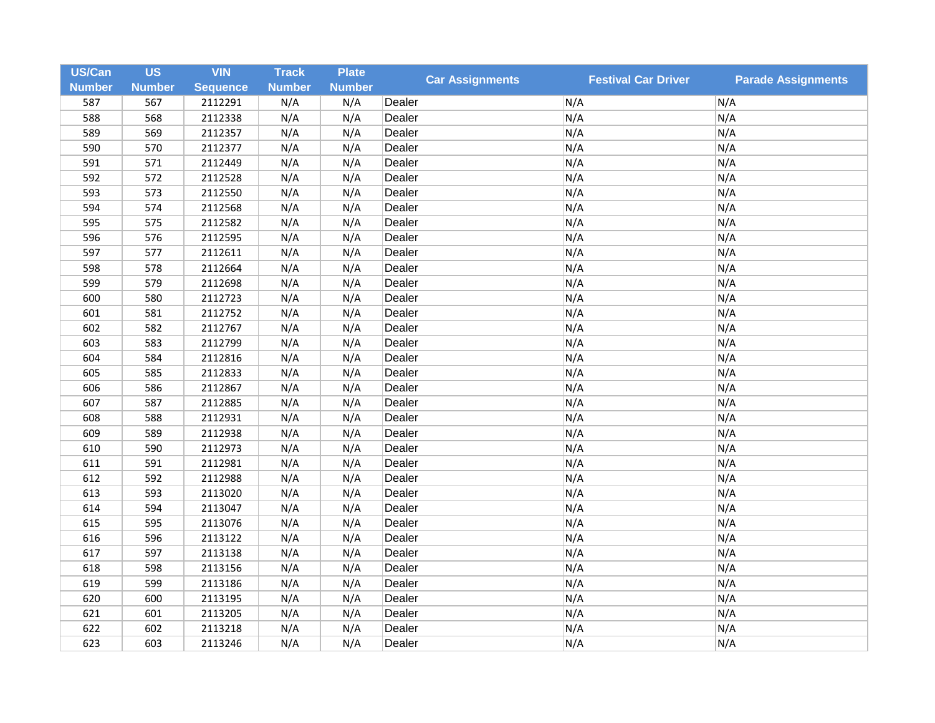| <b>US/Can</b> | <b>US</b>     | <b>VIN</b>      | <b>Track</b>  | <b>Plate</b>  | <b>Car Assignments</b> | <b>Festival Car Driver</b> | <b>Parade Assignments</b> |
|---------------|---------------|-----------------|---------------|---------------|------------------------|----------------------------|---------------------------|
| <b>Number</b> | <b>Number</b> | <b>Sequence</b> | <b>Number</b> | <b>Number</b> |                        |                            |                           |
| 587           | 567           | 2112291         | N/A           | N/A           | Dealer                 | N/A                        | N/A                       |
| 588           | 568           | 2112338         | N/A           | N/A           | Dealer                 | N/A                        | N/A                       |
| 589           | 569           | 2112357         | N/A           | N/A           | Dealer                 | N/A                        | N/A                       |
| 590           | 570           | 2112377         | N/A           | N/A           | Dealer                 | N/A                        | N/A                       |
| 591           | 571           | 2112449         | N/A           | N/A           | Dealer                 | N/A                        | N/A                       |
| 592           | 572           | 2112528         | N/A           | N/A           | Dealer                 | N/A                        | N/A                       |
| 593           | 573           | 2112550         | N/A           | N/A           | Dealer                 | N/A                        | N/A                       |
| 594           | 574           | 2112568         | N/A           | N/A           | Dealer                 | N/A                        | N/A                       |
| 595           | 575           | 2112582         | N/A           | N/A           | Dealer                 | N/A                        | N/A                       |
| 596           | 576           | 2112595         | N/A           | N/A           | Dealer                 | N/A                        | N/A                       |
| 597           | 577           | 2112611         | N/A           | N/A           | Dealer                 | N/A                        | N/A                       |
| 598           | 578           | 2112664         | N/A           | N/A           | Dealer                 | N/A                        | N/A                       |
| 599           | 579           | 2112698         | N/A           | N/A           | Dealer                 | N/A                        | N/A                       |
| 600           | 580           | 2112723         | N/A           | N/A           | Dealer                 | N/A                        | N/A                       |
| 601           | 581           | 2112752         | N/A           | N/A           | Dealer                 | N/A                        | N/A                       |
| 602           | 582           | 2112767         | N/A           | N/A           | Dealer                 | N/A                        | N/A                       |
| 603           | 583           | 2112799         | N/A           | N/A           | Dealer                 | N/A                        | N/A                       |
| 604           | 584           | 2112816         | N/A           | N/A           | Dealer                 | N/A                        | N/A                       |
| 605           | 585           | 2112833         | N/A           | N/A           | Dealer                 | N/A                        | N/A                       |
| 606           | 586           | 2112867         | N/A           | N/A           | Dealer                 | N/A                        | N/A                       |
| 607           | 587           | 2112885         | N/A           | N/A           | Dealer                 | N/A                        | N/A                       |
| 608           | 588           | 2112931         | N/A           | N/A           | Dealer                 | N/A                        | N/A                       |
| 609           | 589           | 2112938         | N/A           | N/A           | Dealer                 | N/A                        | N/A                       |
| 610           | 590           | 2112973         | N/A           | N/A           | Dealer                 | N/A                        | N/A                       |
| 611           | 591           | 2112981         | N/A           | N/A           | Dealer                 | N/A                        | N/A                       |
| 612           | 592           | 2112988         | N/A           | N/A           | Dealer                 | N/A                        | N/A                       |
| 613           | 593           | 2113020         | N/A           | N/A           | Dealer                 | N/A                        | N/A                       |
| 614           | 594           | 2113047         | N/A           | N/A           | Dealer                 | N/A                        | N/A                       |
| 615           | 595           | 2113076         | N/A           | N/A           | Dealer                 | N/A                        | N/A                       |
| 616           | 596           | 2113122         | N/A           | N/A           | Dealer                 | N/A                        | N/A                       |
| 617           | 597           | 2113138         | N/A           | N/A           | Dealer                 | N/A                        | N/A                       |
| 618           | 598           | 2113156         | N/A           | N/A           | Dealer                 | N/A                        | N/A                       |
| 619           | 599           | 2113186         | N/A           | N/A           | Dealer                 | N/A                        | N/A                       |
| 620           | 600           | 2113195         | N/A           | N/A           | Dealer                 | N/A                        | N/A                       |
| 621           | 601           | 2113205         | N/A           | N/A           | Dealer                 | N/A                        | N/A                       |
| 622           | 602           | 2113218         | N/A           | N/A           | Dealer                 | N/A                        | N/A                       |
| 623           | 603           | 2113246         | N/A           | N/A           | Dealer                 | N/A                        | N/A                       |